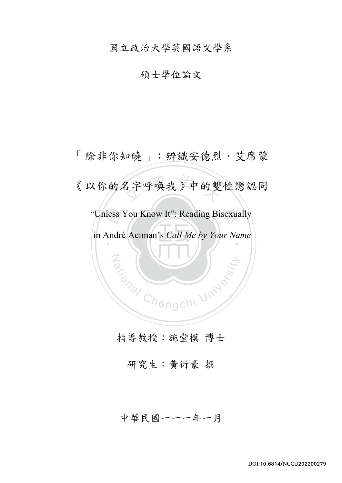國立政治大學英國語文學系

# 碩士學位論文

less<br>Andre 名字呼唤我》中的雙 "Unless You Know It": Reading Bisexually  $\ddot{\ }$ Za (NIV) 「除非你知曉」:辨識安德烈・艾席蒙 《以你的名字呼喚我》中的雙性戀認同 in André Aciman's *Call Me by Your Name*

指導教授:施堂模 博士

研究生:黃衍豪 撰

中華民國一一一年一月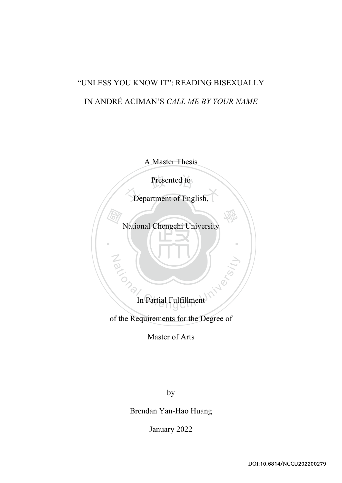# "UNLESS YOU KNOW IT": READING BISEXUALLY IN ANDRÉ ACIMAN'S *CALL ME BY YOUR NAME*

A Master Thesis

Presented to

Presented to

National Chengchi University

學

‧

國

Noi

ational Chengchi University In Partial Fulfillment

of the Requirements for the Degree of

Master of Arts

by

Brendan Yan-Hao Huang

January 2022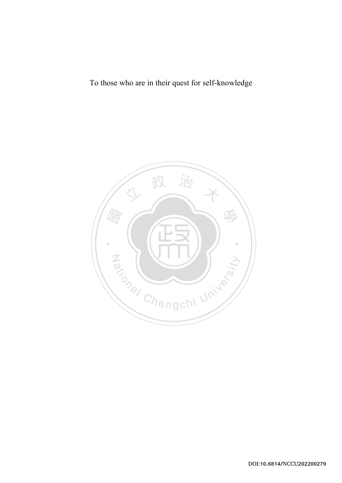To those who are in their quest for self-knowledge

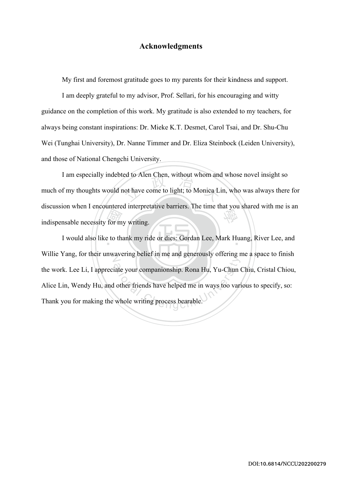# **Acknowledgments**

My first and foremost gratitude goes to my parents for their kindness and support.

I am deeply grateful to my advisor, Prof. Sellari, for his encouraging and witty guidance on the completion of this work. My gratitude is also extended to my teachers, for always being constant inspirations: Dr. Mieke K.T. Desmet, Carol Tsai, and Dr. Shu-Chu Wei (Tunghai University), Dr. Nanne Timmer and Dr. Eliza Steinbock (Leiden University), and those of National Chengchi University.

for m<br>to the to the set of the set of the set of the set of the set of the set of the set of the set of the set of the set of the set of the set of the set of the set of the set of the set of the set of the set of the set ed to Alen Chen, without whom and<br>ot have come to light; to Monica Li 學 I am especially indebted to Alen Chen, without whom and whose novel insight so much of my thoughts would not have come to light; to Monica Lin, who was always there for discussion when I encountered interpretative barriers. The time that you shared with me is an indispensable necessity for my writing.

I would also like to thank my ride or dies: Gordan Lee, Mark Huang, River Lee, and N Willie Yang, for their unwavering belief in me and generously offering me a space to finish iate your companionship. Rona Hu, Yu-Chun Order friends have helped me in ways too variable. the work. Lee Li, I appreciate your companionship. Rona Hu, Yu-Chun Chiu, Cristal Chiou, Alice Lin, Wendy Hu, and other friends have helped me in ways too various to specify, so: Thank you for making the whole writing process bearable.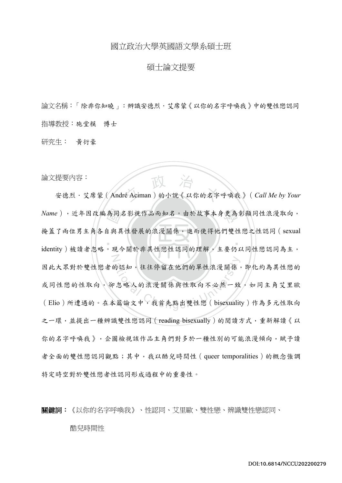# 國立政治大學英國語文學系碩士班

## 碩士論文提要

論文名稱:「除非你知曉」:辨識安德烈·艾席蒙《以你的名字呼喚我》中的雙性戀認同 指導教授:施堂模 博士

研究生: 黃衍豪

論文提要內容:

Name),近年因改編為同名影視作品而知名。由於故事本身更為彰顯同性浪漫取向,<br>掩蓋了兩位男主角各自與異性發展的浪漫關係,進而使得他們雙性戀之性認同 ( sexual<br>identitv ) 被讀者忽略。現今關於非異性戀性認同的理解, 主要仍以同性戀認同為主, <sup>立</sup> <sup>政</sup> <sup>治</sup> <sup>大</sup> 安德烈・艾席蒙(André Aciman)的小說《以你的名字呼喚我》(*Call Me by Your*  ‧ N 的認知,往往停留在他們的單性浪漫關係,<br><br>2.忽略人的浪漫關係與性取向不必然一致<br>《篇論文中,我首先點出雙性戀 ( bisexualit 掩蓋了兩位男主角各自與異性發展的浪漫關係,進而使得他們雙性戀之性認同(sexual identity)被讀者忽略。現今關於非異性戀性認同的理解,主要仍以同性戀認同為主, 因此大眾對於雙性戀者的認知,往往停留在他們的單性浪漫關係,即化約為異性戀的 或同性戀的性取向,卻忽略人的浪漫關係與性取向不必然一致,如同主角艾里歐 (Elio)所遭遇的。在本篇論文中,我首先點出雙性戀(bisexuality)作為多元性取向 之一環,並提出一種辨識雙性戀認同 (reading bisexually)的閱讀方式,重新解讀《以 你的名字呼喚我》,企圖檢視該作品主角們對多於一種性別的可能浪漫傾向,賦予讀 者全面的雙性戀認同觀點;其中,我以酷兒時間性(queer temporalities)的概念強調 特定時空對於雙性戀者性認同形成過程中的重要性。

關鍵詞:《以你的名字呼喚我》、性認同、艾里歐、雙性戀、辨識雙性戀認同、 酷兒時間性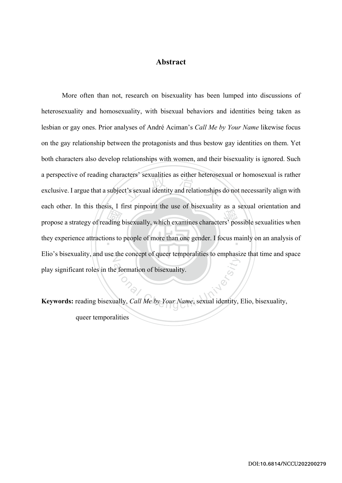# **Abstract**

ding l cters sexualities as either neterose<br>t's sexual identity and relationships propose a strategy of reading bisexually, which examines characters' possible sexualities when they experience attractions to people of more than one gender. I focus mainly on an analysis of Elio's bisexuality, and use the concept of queer temporalities to emphasize that time and space e formation of bisexuality. More often than not, research on bisexuality has been lumped into discussions of heterosexuality and homosexuality, with bisexual behaviors and identities being taken as lesbian or gay ones. Prior analyses of André Aciman's *Call Me by Your Name* likewise focus on the gay relationship between the protagonists and thus bestow gay identities on them. Yet both characters also develop relationships with women, and their bisexuality is ignored. Such a perspective of reading characters' sexualities as either heterosexual or homosexual is rather exclusive. I argue that a subject's sexual identity and relationships do not necessarily align with each other. In this thesis, I first pinpoint the use of bisexuality as a sexual orientation and play significant roles in the formation of bisexuality.

**Keywords:** reading bisexually, *Call Me by Your Name*, sexual identity, Elio, bisexuality, queer temporalities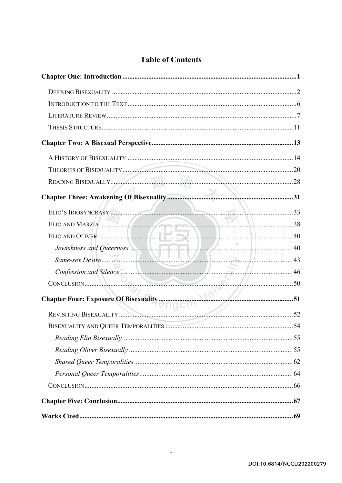| ELIO'S IDIOSYNCRASY                                                                                                       |  |
|---------------------------------------------------------------------------------------------------------------------------|--|
| ELIO AND MARZIA                                                                                                           |  |
|                                                                                                                           |  |
| Jewishness and Queerness.                                                                                                 |  |
| Same-sex Desire $\frac{7}{2}$ 1                                                                                           |  |
|                                                                                                                           |  |
|                                                                                                                           |  |
| S0<br>Chapter Four: Exposure Of Bisexuality<br>English Manuscription S1<br>REVISITING RISEVILLE TO CHAPTER OF BISEXUALITY |  |
| REVISITING BISEXUALITY                                                                                                    |  |
|                                                                                                                           |  |
|                                                                                                                           |  |
|                                                                                                                           |  |
|                                                                                                                           |  |
|                                                                                                                           |  |
|                                                                                                                           |  |
|                                                                                                                           |  |
|                                                                                                                           |  |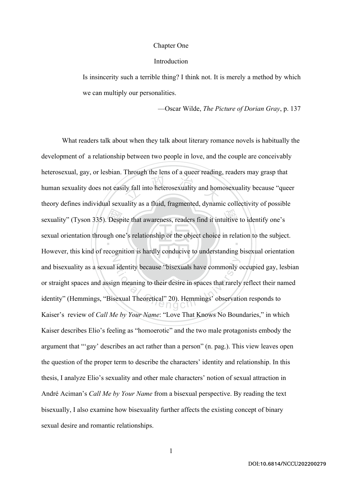#### Chapter One

#### Introduction

Is insincerity such a terrible thing? I think not. It is merely a method by which we can multiply our personalities.

—Oscar Wilde, *The Picture of Dorian Gray*, p. 137

sexuality" (Tyson 335). Despite that awareness, readers find it intuitive to identify one's<br>sexual orientation through one's relationship or the object choice in relation to the subject ly fall into heterosexuality and home  $\ddot{\phantom{a}}$ N I identity because "bisexuals have commonly of<br>gn meaning to their desire in spaces that rarely<br>sexual Theoretical" 20). Hemmings' observation What readers talk about when they talk about literary romance novels is habitually the development of a relationship between two people in love, and the couple are conceivably heterosexual, gay, or lesbian. Through the lens of a queer reading, readers may grasp that human sexuality does not easily fall into heterosexuality and homosexuality because "queer theory defines individual sexuality as a fluid, fragmented, dynamic collectivity of possible sexual orientation through one's relationship or the object choice in relation to the subject. However, this kind of recognition is hardly conducive to understanding bisexual orientation and bisexuality as a sexual identity because "bisexuals have commonly occupied gay, lesbian or straight spaces and assign meaning to their desire in spaces that rarely reflect their named identity" (Hemmings, "Bisexual Theoretical" 20). Hemmings' observation responds to Kaiser's review of *Call Me by Your Name*: "Love That Knows No Boundaries," in which Kaiser describes Elio's feeling as "homoerotic" and the two male protagonists embody the argument that "'gay' describes an act rather than a person" (n. pag.). This view leaves open the question of the proper term to describe the characters' identity and relationship. In this thesis, I analyze Elio's sexuality and other male characters' notion of sexual attraction in André Aciman's *Call Me by Your Name* from a bisexual perspective. By reading the text bisexually, I also examine how bisexuality further affects the existing concept of binary sexual desire and romantic relationships.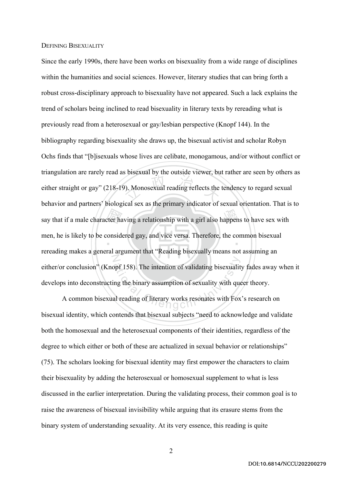#### DEFINING BISEXUALITY

say that if a male character having a relationship with a girl also happens to have sex with<br>men, he is likely to be considered gay, and vice versa. Therefore, the common bisexual<br>representing males a concept around that " (b). Monosexual reading reflects the ‧ N opf 158). The intention of validating bisexuality<br>ng the binary assumption of sexuality with que<br>al reading of literary works resonates with Fox Since the early 1990s, there have been works on bisexuality from a wide range of disciplines within the humanities and social sciences. However, literary studies that can bring forth a robust cross-disciplinary approach to bisexuality have not appeared. Such a lack explains the trend of scholars being inclined to read bisexuality in literary texts by rereading what is previously read from a heterosexual or gay/lesbian perspective (Knopf 144). In the bibliography regarding bisexuality she draws up, the bisexual activist and scholar Robyn Ochs finds that "[b]isexuals whose lives are celibate, monogamous, and/or without conflict or triangulation are rarely read as bisexual by the outside viewer, but rather are seen by others as either straight or gay" (218-19). Monosexual reading reflects the tendency to regard sexual behavior and partners' biological sex as the primary indicator of sexual orientation. That is to men, he is likely to be considered gay, and vice versa. Therefore, the common bisexual rereading makes a general argument that "Reading bisexually means not assuming an either/or conclusion" (Knopf 158). The intention of validating bisexuality fades away when it develops into deconstructing the binary assumption of sexuality with queer theory.

A common bisexual reading of literary works resonates with Fox's research on bisexual identity, which contends that bisexual subjects "need to acknowledge and validate both the homosexual and the heterosexual components of their identities, regardless of the degree to which either or both of these are actualized in sexual behavior or relationships" (75). The scholars looking for bisexual identity may first empower the characters to claim their bisexuality by adding the heterosexual or homosexual supplement to what is less discussed in the earlier interpretation. During the validating process, their common goal is to raise the awareness of bisexual invisibility while arguing that its erasure stems from the binary system of understanding sexuality. At its very essence, this reading is quite

DOI:10.6814/NCCU202200279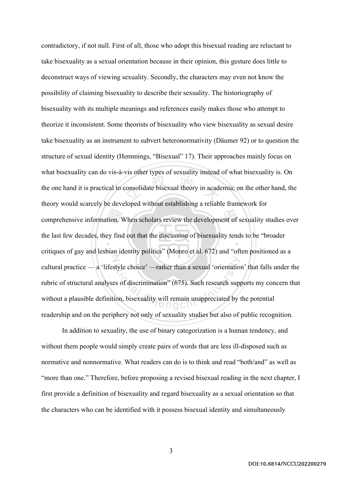comprehensive information. When scholars review the development of sexuality studies over<br>the last few decades, they find out that the discussion of bisexuality tends to be "broader<br>gritismes of gave and lapking identity p  $\frac{1}{2}$  consolidate bisexual theory in acade ‧ N style choice' —rather than a sexual 'orientation<br>
es of discrimination'' (675). Such research supposes of discrimination'' (675). Such research supposes contradictory, if not null. First of all, those who adopt this bisexual reading are reluctant to take bisexuality as a sexual orientation because in their opinion, this gesture does little to deconstruct ways of viewing sexuality. Secondly, the characters may even not know the possibility of claiming bisexuality to describe their sexuality. The historiography of bisexuality with its multiple meanings and references easily makes those who attempt to theorize it inconsistent. Some theorists of bisexuality who view bisexuality as sexual desire take bisexuality as an instrument to subvert heteronormativity (Däumer 92) or to question the structure of sexual identity (Hemmings, "Bisexual" 17). Their approaches mainly focus on what bisexuality can do vis-à-vis other types of sexuality instead of what bisexuality is. On the one hand it is practical to consolidate bisexual theory in academia; on the other hand, the theory would scarcely be developed without establishing a reliable framework for the last few decades, they find out that the discussion of bisexuality tends to be "broader critiques of gay and lesbian identity politics" (Monro et al. 672) and "often positioned as a cultural practice — a 'lifestyle choice' —rather than a sexual 'orientation' that falls under the rubric of structural analyses of discrimination" (675). Such research supports my concern that without a plausible definition, bisexuality will remain unappreciated by the potential readership and on the periphery not only of sexuality studies but also of public recognition.

In addition to sexuality, the use of binary categorization is a human tendency, and without them people would simply create pairs of words that are less ill-disposed such as normative and nonnormative. What readers can do is to think and read "both/and" as well as "more than one." Therefore, before proposing a revised bisexual reading in the next chapter, I first provide a definition of bisexuality and regard bisexuality as a sexual orientation so that the characters who can be identified with it possess bisexual identity and simultaneously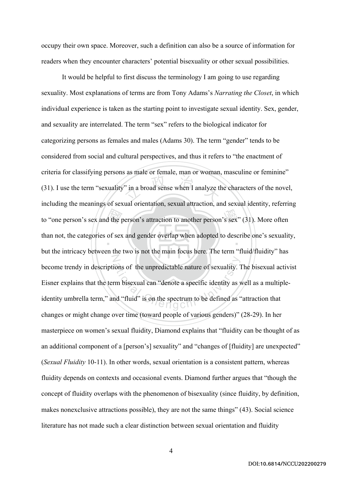occupy their own space. Moreover, such a definition can also be a source of information for readers when they encounter characters' potential bisexuality or other sexual possibilities.

to "one person's sex and the person's attraction to another person's sex" (31). More often<br>than not, the categories of sex and gender overlap when adopted to describe one's sexuality<br>but the intrinory between the two is no  $\therefore$  in a broad sense when I analyze the  $\therefore$  $\ddot{\phantom{0}}$ N ions of the unpredictable nature of sexuality. T<br>
rm bisexual can "denote a specific identity as y<br>
ad "fluid" is on the spectrum to be defined as " It would be helpful to first discuss the terminology I am going to use regarding sexuality. Most explanations of terms are from Tony Adams's *Narrating the Closet*, in which individual experience is taken as the starting point to investigate sexual identity. Sex, gender, and sexuality are interrelated. The term "sex" refers to the biological indicator for categorizing persons as females and males (Adams 30). The term "gender" tends to be considered from social and cultural perspectives, and thus it refers to "the enactment of criteria for classifying persons as male or female, man or woman, masculine or feminine" (31). I use the term "sexuality" in a broad sense when I analyze the characters of the novel, including the meanings of sexual orientation, sexual attraction, and sexual identity, referring than not, the categories of sex and gender overlap when adopted to describe one's sexuality, but the intricacy between the two is not the main focus here. The term "fluid/fluidity" has become trendy in descriptions of the unpredictable nature of sexuality. The bisexual activist Eisner explains that the term bisexual can "denote a specific identity as well as a multipleidentity umbrella term," and "fluid" is on the spectrum to be defined as "attraction that changes or might change over time (toward people of various genders)" (28-29). In her masterpiece on women's sexual fluidity, Diamond explains that "fluidity can be thought of as an additional component of a [person's] sexuality" and "changes of [fluidity] are unexpected" (*Sexual Fluidity* 10-11). In other words, sexual orientation is a consistent pattern, whereas fluidity depends on contexts and occasional events. Diamond further argues that "though the concept of fluidity overlaps with the phenomenon of bisexuality (since fluidity, by definition, makes nonexclusive attractions possible), they are not the same things" (43). Social science literature has not made such a clear distinction between sexual orientation and fluidity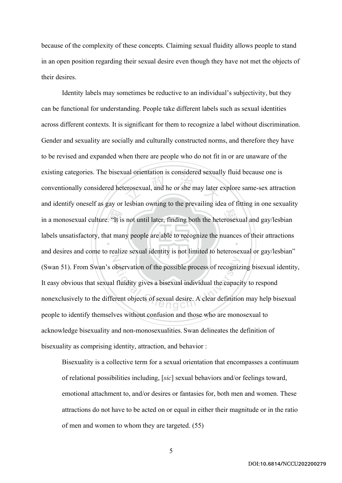because of the complexity of these concepts. Claiming sexual fluidity allows people to stand in an open position regarding their sexual desire even though they have not met the objects of their desires.

in a monosexual culture. "It is not until later, finding both the heterosexual and gay/lesbian<br>labels unsatisfactory, that many people are able to recognize the nuances of their attractions<br>and decises and some to realize erosexual, and he or she may later ‧ N bbservation of the possible process of recognized<br>I fluidity gives a bisexual individual the capacity<br>erent objects of sexual desire. A clear definition Identity labels may sometimes be reductive to an individual's subjectivity, but they can be functional for understanding. People take different labels such as sexual identities across different contexts. It is significant for them to recognize a label without discrimination. Gender and sexuality are socially and culturally constructed norms, and therefore they have to be revised and expanded when there are people who do not fit in or are unaware of the existing categories. The bisexual orientation is considered sexually fluid because one is conventionally considered heterosexual, and he or she may later explore same-sex attraction and identify oneself as gay or lesbian owning to the prevailing idea of fitting in one sexuality labels unsatisfactory, that many people are able to recognize the nuances of their attractions and desires and come to realize sexual identity is not limited to heterosexual or gay/lesbian" (Swan 51). From Swan's observation of the possible process of recognizing bisexual identity, It easy obvious that sexual fluidity gives a bisexual individual the capacity to respond nonexclusively to the different objects of sexual desire. A clear definition may help bisexual people to identify themselves without confusion and those who are monosexual to acknowledge bisexuality and non-monosexualities. Swan delineates the definition of bisexuality as comprising identity, attraction, and behavior :

Bisexuality is a collective term for a sexual orientation that encompasses a continuum of relational possibilities including, [*sic*] sexual behaviors and/or feelings toward, emotional attachment to, and/or desires or fantasies for, both men and women. These attractions do not have to be acted on or equal in either their magnitude or in the ratio of men and women to whom they are targeted. (55)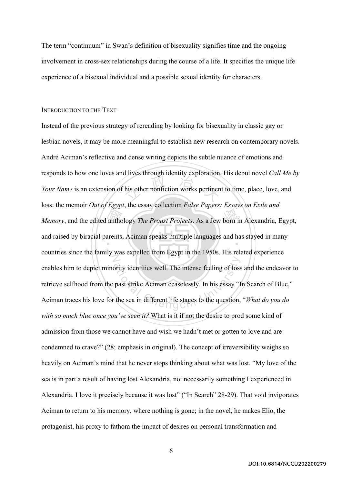The term "continuum" in Swan's definition of bisexuality signifies time and the ongoing involvement in cross-sex relationships during the course of a life. It specifies the unique life experience of a bisexual individual and a possible sexual identity for characters.

#### INTRODUCTION TO THE TEXT

antho his other nonfiction works pertinen *Memory*, and the edited anthology *The Proust Projects*. As a Jew born in Alexandria, Egypt, and raised by biracial parents, Aciman speaks multiple languages and has stayed in many N brity identities well. The intense feeling of loss<br>past strike Aciman ceaselessly. In his essay "I<br>the sea in different life stages to the question, Instead of the previous strategy of rereading by looking for bisexuality in classic gay or lesbian novels, it may be more meaningful to establish new research on contemporary novels. André Aciman's reflective and dense writing depicts the subtle nuance of emotions and responds to how one loves and lives through identity exploration. His debut novel *Call Me by Your Name* is an extension of his other nonfiction works pertinent to time, place, love, and loss: the memoir *Out of Egypt*, the essay collection *False Papers: Essays on Exile and*  countries since the family was expelled from Egypt in the 1950s. His related experience enables him to depict minority identities well. The intense feeling of loss and the endeavor to retrieve selfhood from the past strike Aciman ceaselessly. In his essay "In Search of Blue," Aciman traces his love for the sea in different life stages to the question, "*What do you do with so much blue once you've seen it?* What is it if not the desire to prod some kind of admission from those we cannot have and wish we hadn't met or gotten to love and are condemned to crave?" (28; emphasis in original). The concept of irreversibility weighs so heavily on Aciman's mind that he never stops thinking about what was lost. "My love of the sea is in part a result of having lost Alexandria, not necessarily something I experienced in Alexandria. I love it precisely because it was lost" ("In Search" 28-29). That void invigorates Aciman to return to his memory, where nothing is gone; in the novel, he makes Elio, the protagonist, his proxy to fathom the impact of desires on personal transformation and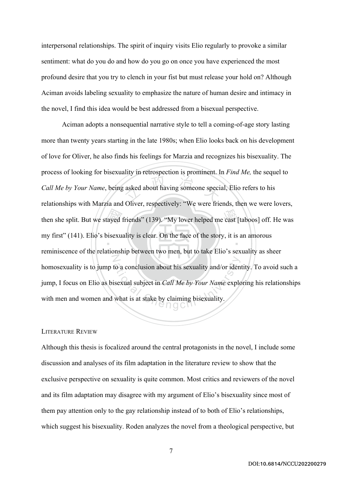interpersonal relationships. The spirit of inquiry visits Elio regularly to provoke a similar sentiment: what do you do and how do you go on once you have experienced the most profound desire that you try to clench in your fist but must release your hold on? Although Aciman avoids labeling sexuality to emphasize the nature of human desire and intimacy in the novel, I find this idea would be best addressed from a bisexual perspective.

then she split. But we stayed friends" (139). "My lover helped me cast [taboos] off. He was<br>my first" (141). Elio's bisexuality is clear. On the face of the story, it is an amorous<br>meniniscance of the relationship between asked about having someone species  $\ddot{\phantom{0}}$ N to a conclusion about his sexuality and/or iden<br>isexual subject in *Call Me by Your Name* explore.<br>what is at stake by claiming bisexuality. Aciman adopts a nonsequential narrative style to tell a coming-of-age story lasting more than twenty years starting in the late 1980s; when Elio looks back on his development of love for Oliver, he also finds his feelings for Marzia and recognizes his bisexuality. The process of looking for bisexuality in retrospection is prominent. In *Find Me,* the sequel to *Call Me by Your Name*, being asked about having someone special, Elio refers to his relationships with Marzia and Oliver, respectively: "We were friends, then we were lovers, my first" (141). Elio's bisexuality is clear. On the face of the story, it is an amorous reminiscence of the relationship between two men, but to take Elio's sexuality as sheer homosexuality is to jump to a conclusion about his sexuality and/or identity. To avoid such a jump, I focus on Elio as bisexual subject in *Call Me by Your Name* exploring his relationships with men and women and what is at stake by claiming bisexuality.

#### LITERATURE REVIEW

Although this thesis is focalized around the central protagonists in the novel, I include some discussion and analyses of its film adaptation in the literature review to show that the exclusive perspective on sexuality is quite common. Most critics and reviewers of the novel and its film adaptation may disagree with my argument of Elio's bisexuality since most of them pay attention only to the gay relationship instead of to both of Elio's relationships, which suggest his bisexuality. Roden analyzes the novel from a theological perspective, but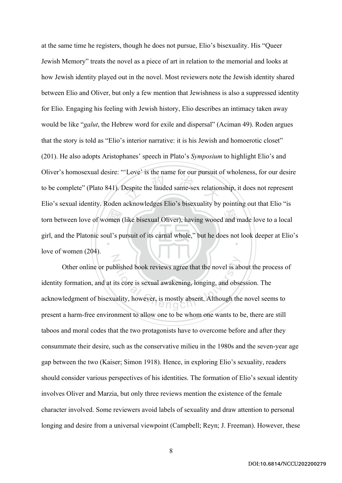torn between love of women (like bisexual Oliver), having wooed and made love to a local<br>girl, and the Platonic soul's pursuit of its carnal whole," but he does not look deeper at Elio bespite the lauded same-sex relation  $\ddot{\ }$ N at the same time he registers, though he does not pursue, Elio's bisexuality. His "Queer Jewish Memory" treats the novel as a piece of art in relation to the memorial and looks at how Jewish identity played out in the novel. Most reviewers note the Jewish identity shared between Elio and Oliver, but only a few mention that Jewishness is also a suppressed identity for Elio. Engaging his feeling with Jewish history, Elio describes an intimacy taken away would be like "*galut*, the Hebrew word for exile and dispersal" (Aciman 49). Roden argues that the story is told as "Elio's interior narrative: it is his Jewish and homoerotic closet" (201). He also adopts Aristophanes' speech in Plato's *Symposium* to highlight Elio's and Oliver's homosexual desire: "'Love' is the name for our pursuit of wholeness, for our desire to be complete" (Plato 841). Despite the lauded same-sex relationship, it does not represent Elio's sexual identity. Roden acknowledges Elio's bisexuality by pointing out that Elio "is girl, and the Platonic soul's pursuit of its carnal whole," but he does not look deeper at Elio's love of women (204).

blished book reviews agree that the novel is abits core is sexual awakening, longing, and obset<br>ality, however, is mostly absent. Although the Other online or published book reviews agree that the novel is about the process of identity formation, and at its core is sexual awakening, longing, and obsession. The acknowledgment of bisexuality, however, is mostly absent. Although the novel seems to present a harm-free environment to allow one to be whom one wants to be, there are still taboos and moral codes that the two protagonists have to overcome before and after they consummate their desire, such as the conservative milieu in the 1980s and the seven-year age gap between the two (Kaiser; Simon 1918). Hence, in exploring Elio's sexuality, readers should consider various perspectives of his identities. The formation of Elio's sexual identity involves Oliver and Marzia, but only three reviews mention the existence of the female character involved. Some reviewers avoid labels of sexuality and draw attention to personal longing and desire from a universal viewpoint (Campbell; Reyn; J. Freeman). However, these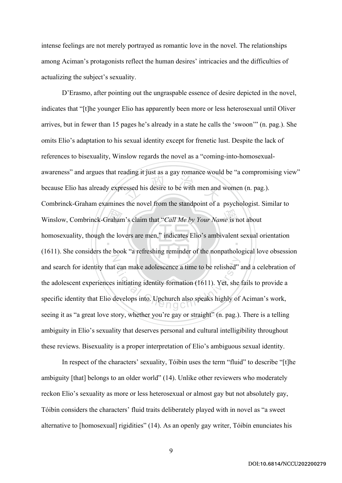intense feelings are not merely portrayed as romantic love in the novel. The relationships among Aciman's protagonists reflect the human desires' intricacies and the difficulties of actualizing the subject's sexuality.

Winslow, Combrinck-Graham's claim that "*Call Me by Your Name* is not about<br>homosexuality, though the lovers are men," indicates Elio's ambivalent sexual of the compatible circulary essed his desire to be with men and ‧ N t can make adolescence a time to be relished"<br>
is initiating identity formation (1611). Yet, she<br>
develops into. Upchurch also speaks highly of D'Erasmo, after pointing out the ungraspable essence of desire depicted in the novel, indicates that "[t]he younger Elio has apparently been more or less heterosexual until Oliver arrives, but in fewer than 15 pages he's already in a state he calls the 'swoon'" (n. pag.). She omits Elio's adaptation to his sexual identity except for frenetic lust. Despite the lack of references to bisexuality, Winslow regards the novel as a "coming-into-homosexualawareness" and argues that reading it just as a gay romance would be "a compromising view" because Elio has already expressed his desire to be with men and women (n. pag.). Combrinck-Graham examines the novel from the standpoint of a psychologist. Similar to homosexuality, though the lovers are men," indicates Elio's ambivalent sexual orientation (1611). She considers the book "a refreshing reminder of the nonpathological love obsession and search for identity that can make adolescence a time to be relished" and a celebration of the adolescent experiences initiating identity formation (1611). Yet, she fails to provide a specific identity that Elio develops into. Upchurch also speaks highly of Aciman's work, seeing it as "a great love story, whether you're gay or straight" (n. pag.). There is a telling ambiguity in Elio's sexuality that deserves personal and cultural intelligibility throughout these reviews. Bisexuality is a proper interpretation of Elio's ambiguous sexual identity.

In respect of the characters' sexuality, Tóibín uses the term "fluid" to describe "[t]he ambiguity [that] belongs to an older world" (14). Unlike other reviewers who moderately reckon Elio's sexuality as more or less heterosexual or almost gay but not absolutely gay, Tóibín considers the characters' fluid traits deliberately played with in novel as "a sweet alternative to [homosexual] rigidities" (14). As an openly gay writer, Tóibín enunciates his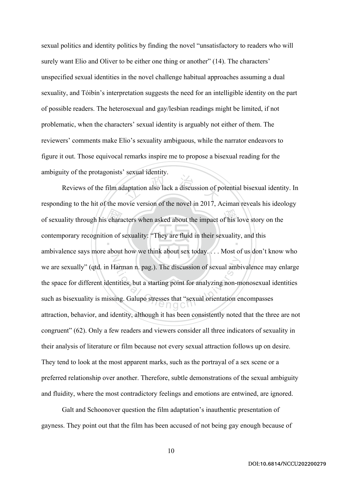sexual politics and identity politics by finding the novel "unsatisfactory to readers who will surely want Elio and Oliver to be either one thing or another" (14). The characters' unspecified sexual identities in the novel challenge habitual approaches assuming a dual sexuality, and Tóibín's interpretation suggests the need for an intelligible identity on the part of possible readers. The heterosexual and gay/lesbian readings might be limited, if not problematic, when the characters' sexual identity is arguably not either of them. The reviewers' comments make Elio's sexuality ambiguous, while the narrator endeavors to figure it out. Those equivocal remarks inspire me to propose a bisexual reading for the ambiguity of the protagonists' sexual identity.

of sexuality through his characters when asked about the impact of his love story on the<br>contemporary recognition of sexuality: "They are fluid in their sexuality, and this<br>embivalence seve more shout how we think shout se laptation also lack a discussion of p ‧ N Farman n. pag.). The discussion of sexual ambit<br>atities, but a starting point for analyzing non-ming. Galupo stresses that "sexual orientation en Reviews of the film adaptation also lack a discussion of potential bisexual identity. In responding to the hit of the movie version of the novel in 2017, Aciman reveals his ideology contemporary recognition of sexuality: "They are fluid in their sexuality, and this ambivalence says more about how we think about sex today. . . . Most of us don't know who we are sexually" (qtd. in Harman n. pag.). The discussion of sexual ambivalence may enlarge the space for different identities, but a starting point for analyzing non-monosexual identities such as bisexuality is missing. Galupo stresses that "sexual orientation encompasses attraction, behavior, and identity, although it has been consistently noted that the three are not congruent" (62). Only a few readers and viewers consider all three indicators of sexuality in their analysis of literature or film because not every sexual attraction follows up on desire. They tend to look at the most apparent marks, such as the portrayal of a sex scene or a preferred relationship over another. Therefore, subtle demonstrations of the sexual ambiguity and fluidity, where the most contradictory feelings and emotions are entwined, are ignored.

Galt and Schoonover question the film adaptation's inauthentic presentation of gayness. They point out that the film has been accused of not being gay enough because of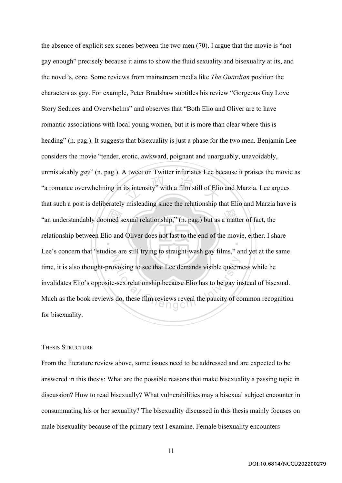"an understandably doomed sexual relationship," (n. pag.) but as a matter of fact, the relationship between Elio and Oliver does not last to the end of the movie, either. I sh its intensity" with a film still of Elic ‧ N woking to see that Lee demands visible queern<br>a-sex relationship because Elio has to be gay in<br>do, these film reviews reveal the paucity of co the absence of explicit sex scenes between the two men (70). I argue that the movie is "not gay enough" precisely because it aims to show the fluid sexuality and bisexuality at its, and the novel's, core. Some reviews from mainstream media like *The Guardian* position the characters as gay. For example, Peter Bradshaw subtitles his review "Gorgeous Gay Love Story Seduces and Overwhelms" and observes that "Both Elio and Oliver are to have romantic associations with local young women, but it is more than clear where this is heading" (n. pag.). It suggests that bisexuality is just a phase for the two men. Benjamin Lee considers the movie "tender, erotic, awkward, poignant and unarguably, unavoidably, unmistakably *gay*" (n. pag.). A tweet on Twitter infuriates Lee because it praises the movie as "a romance overwhelming in its intensity" with a film still of Elio and Marzia. Lee argues that such a post is deliberately misleading since the relationship that Elio and Marzia have is relationship between Elio and Oliver does not last to the end of the movie, either. I share Lee's concern that "studios are still trying to straight-wash gay films," and yet at the same time, it is also thought-provoking to see that Lee demands visible queerness while he invalidates Elio's opposite-sex relationship because Elio has to be gay instead of bisexual. Much as the book reviews do, these film reviews reveal the paucity of common recognition for bisexuality.

#### THESIS STRUCTURE

From the literature review above, some issues need to be addressed and are expected to be answered in this thesis: What are the possible reasons that make bisexuality a passing topic in discussion? How to read bisexually? What vulnerabilities may a bisexual subject encounter in consummating his or her sexuality? The bisexuality discussed in this thesis mainly focuses on male bisexuality because of the primary text I examine. Female bisexuality encounters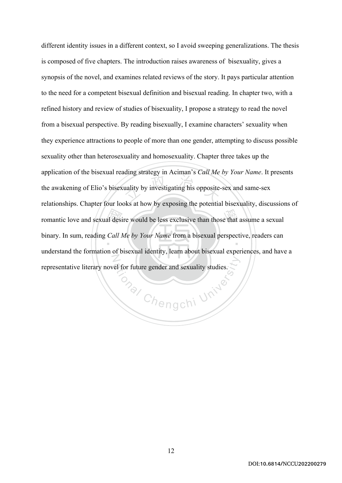romantic love and sexual desire would be less exclusive than those that assume a sexual<br>binary. In sum, reading *Call Me by Your Name* from a bisexual perspective, readers can<br>understand the formation of bisexual identity,  $\frac{1}{2}$  and  $\frac{1}{2}$  is opposite-‧ N different identity issues in a different context, so I avoid sweeping generalizations. The thesis is composed of five chapters. The introduction raises awareness of bisexuality, gives a synopsis of the novel, and examines related reviews of the story. It pays particular attention to the need for a competent bisexual definition and bisexual reading. In chapter two, with a refined history and review of studies of bisexuality, I propose a strategy to read the novel from a bisexual perspective. By reading bisexually, I examine characters' sexuality when they experience attractions to people of more than one gender, attempting to discuss possible sexuality other than heterosexuality and homosexuality. Chapter three takes up the application of the bisexual reading strategy in Aciman's *Call Me by Your Name*. It presents the awakening of Elio's bisexuality by investigating his opposite-sex and same-sex relationships. Chapter four looks at how by exposing the potential bisexuality, discussions of binary. In sum, reading *Call Me by Your Name* from a bisexual perspective, readers can understand the formation of bisexual identity, learn about bisexual experiences, and have a representative literary novel for future gender and sexuality studies.

**Onal Chengchi University**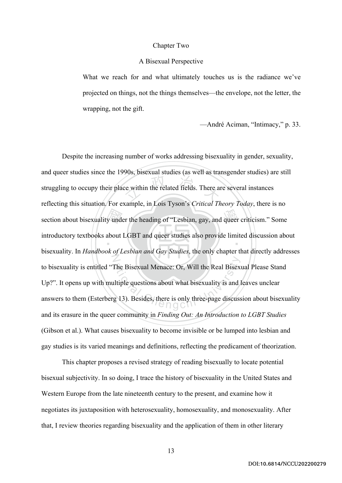#### Chapter Two

#### A Bisexual Perspective

What we reach for and what ultimately touches us is the radiance we've projected on things, not the things themselves—the envelope, not the letter, the wrapping, not the gift.

—André Aciman, "Intimacy," p. 33.

section about bisexuality under the heading of "Lesbian, gay, and queer criticism." Some<br>introductory textbooks about LGBT and queer studies also provide limited discussion abo  $\frac{1}{2}$  are within the related fields. There are ‧  $\ddot{\mathbb{Z}}$ The Bisexual Menace: Or, Will the Real Bisex<br>
lltiple questions about what bisexuality is and<br>
g 13). Besides, there is only three-page discuss Despite the increasing number of works addressing bisexuality in gender, sexuality, and queer studies since the 1990s, bisexual studies (as well as transgender studies) are still struggling to occupy their place within the related fields. There are several instances reflecting this situation. For example, in Lois Tyson's *Critical Theory Today*, there is no introductory textbooks about LGBT and queer studies also provide limited discussion about bisexuality. In *Handbook of Lesbian and Gay Studies*, the only chapter that directly addresses to bisexuality is entitled "The Bisexual Menace: Or, Will the Real Bisexual Please Stand Up?". It opens up with multiple questions about what bisexuality is and leaves unclear answers to them (Esterberg 13). Besides, there is only three-page discussion about bisexuality and its erasure in the queer community in *Finding Out: An Introduction to LGBT Studies* (Gibson et al.). What causes bisexuality to become invisible or be lumped into lesbian and gay studies is its varied meanings and definitions, reflecting the predicament of theorization.

This chapter proposes a revised strategy of reading bisexually to locate potential bisexual subjectivity. In so doing, I trace the history of bisexuality in the United States and Western Europe from the late nineteenth century to the present, and examine how it negotiates its juxtaposition with heterosexuality, homosexuality, and monosexuality. After that, I review theories regarding bisexuality and the application of them in other literary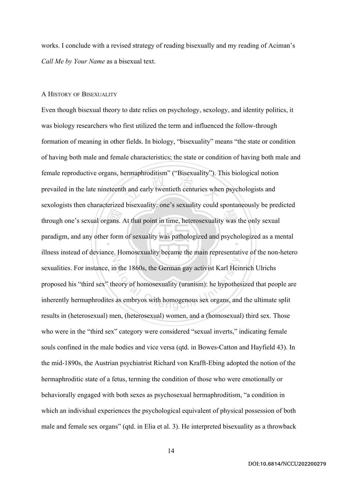works. I conclude with a revised strategy of reading bisexually and my reading of Aciman's *Call Me by Your Name* as a bisexual text.

#### A HISTORY OF BISEXUALITY

gans. h and early twentieth centuries when through one's sexual organs. At that point in time, heterosexuality was the only sexual paradigm, and any other form of sexuality was pathologized and psychologized as a mental N In the 1860s, the German gay activist Karl Heir<br>neory of homosexuality (uranism): he hypothes<br>as embryos with homogenous sex organs, and Even though bisexual theory to date relies on psychology, sexology, and identity politics, it was biology researchers who first utilized the term and influenced the follow-through formation of meaning in other fields. In biology, "bisexuality" means "the state or condition of having both male and female characteristics; the state or condition of having both male and female reproductive organs, hermaphroditism" ("Bisexuality"). This biological notion prevailed in the late nineteenth and early twentieth centuries when psychologists and sexologists then characterized bisexuality: one's sexuality could spontaneously be predicted illness instead of deviance. Homosexuality became the main representative of the non-hetero sexualities. For instance, in the 1860s, the German gay activist Karl Heinrich Ulrichs proposed his "third sex" theory of homosexuality (uranism): he hypothesized that people are inherently hermaphrodites as embryos with homogenous sex organs, and the ultimate split results in (heterosexual) men, (heterosexual) women, and a (homosexual) third sex. Those who were in the "third sex" category were considered "sexual inverts," indicating female souls confined in the male bodies and vice versa (qtd. in Bowes-Catton and Hayfield 43). In the mid-1890s, the Austrian psychiatrist Richard von Krafft-Ebing adopted the notion of the hermaphroditic state of a fetus, terming the condition of those who were emotionally or behaviorally engaged with both sexes as psychosexual hermaphroditism, "a condition in which an individual experiences the psychological equivalent of physical possession of both male and female sex organs" (qtd. in Elia et al. 3). He interpreted bisexuality as a throwback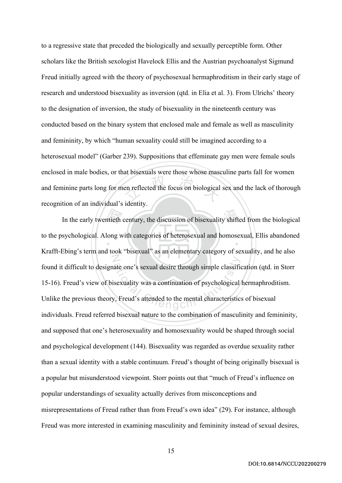en reflected the focus on biological to a regressive state that preceded the biologically and sexually perceptible form. Other scholars like the British sexologist Havelock Ellis and the Austrian psychoanalyst Sigmund Freud initially agreed with the theory of psychosexual hermaphroditism in their early stage of research and understood bisexuality as inversion (qtd. in Elia et al. 3). From Ulrichs' theory to the designation of inversion, the study of bisexuality in the nineteenth century was conducted based on the binary system that enclosed male and female as well as masculinity and femininity, by which "human sexuality could still be imagined according to a heterosexual model" (Garber 239). Suppositions that effeminate gay men were female souls enclosed in male bodies, or that bisexuals were those whose masculine parts fall for women and feminine parts long for men reflected the focus on biological sex and the lack of thorough recognition of an individual's identity.

In the early twentieth century, the discussion of bisexuality shifted from the biological<br>sychological. Along with categories of heterosexual and homosexual, Ellis abandoned<br>Fine's term and took "bisexual" as an alementary  $\ddot{\phantom{0}}$ N ate one's sexual desire through simple classifies<br>sexuality was a continuation of psychological<br>q, Freud's attended to the mental characteristic to the psychological. Along with categories of heterosexual and homosexual, Ellis abandoned Krafft-Ebing's term and took "bisexual" as an elementary category of sexuality, and he also found it difficult to designate one's sexual desire through simple classification (qtd. in Storr 15-16). Freud's view of bisexuality was a continuation of psychological hermaphroditism. Unlike the previous theory, Freud's attended to the mental characteristics of bisexual individuals. Freud referred bisexual nature to the combination of masculinity and femininity, and supposed that one's heterosexuality and homosexuality would be shaped through social and psychological development (144). Bisexuality was regarded as overdue sexuality rather than a sexual identity with a stable continuum. Freud's thought of being originally bisexual is a popular but misunderstood viewpoint. Storr points out that "much of Freud's influence on popular understandings of sexuality actually derives from misconceptions and misrepresentations of Freud rather than from Freud's own idea" (29). For instance, although Freud was more interested in examining masculinity and femininity instead of sexual desires,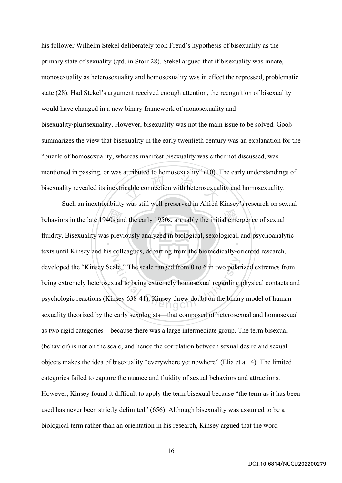cable connection with heterosexual his follower Wilhelm Stekel deliberately took Freud's hypothesis of bisexuality as the primary state of sexuality (qtd. in Storr 28). Stekel argued that if bisexuality was innate, monosexuality as heterosexuality and homosexuality was in effect the repressed, problematic state (28). Had Stekel's argument received enough attention, the recognition of bisexuality would have changed in a new binary framework of monosexuality and bisexuality/plurisexuality. However, bisexuality was not the main issue to be solved. Gooß summarizes the view that bisexuality in the early twentieth century was an explanation for the "puzzle of homosexuality, whereas manifest bisexuality was either not discussed, was mentioned in passing, or was attributed to homosexuality" (10). The early understandings of bisexuality revealed its inextricable connection with heterosexuality and homosexuality.

behaviors in the late 1940s and the early 1950s, arguably the initial emergence of sexual<br>fluidity. Bisexuality was previously analyzed in biological, sexological, and psychoanaly<br>texts until Kineau and bis asllessues, den  $\ddot{\phantom{0}}$ N ale." The scale ranged from 0 to 6 in two polar<br>ual to being extremely homosexual regarding<br>nsey 638-41). Kinsey threw doubt on the binar Such an inextricability was still well preserved in Alfred Kinsey's research on sexual fluidity. Bisexuality was previously analyzed in biological, sexological, and psychoanalytic texts until Kinsey and his colleagues, departing from the biomedically-oriented research, developed the "Kinsey Scale." The scale ranged from 0 to 6 in two polarized extremes from being extremely heterosexual to being extremely homosexual regarding physical contacts and psychologic reactions (Kinsey 638-41). Kinsey threw doubt on the binary model of human sexuality theorized by the early sexologists—that composed of heterosexual and homosexual as two rigid categories—because there was a large intermediate group. The term bisexual (behavior) is not on the scale, and hence the correlation between sexual desire and sexual objects makes the idea of bisexuality "everywhere yet nowhere" (Elia et al. 4). The limited categories failed to capture the nuance and fluidity of sexual behaviors and attractions. However, Kinsey found it difficult to apply the term bisexual because "the term as it has been used has never been strictly delimited" (656). Although bisexuality was assumed to be a biological term rather than an orientation in his research, Kinsey argued that the word

DOI:10.6814/NCCU202200279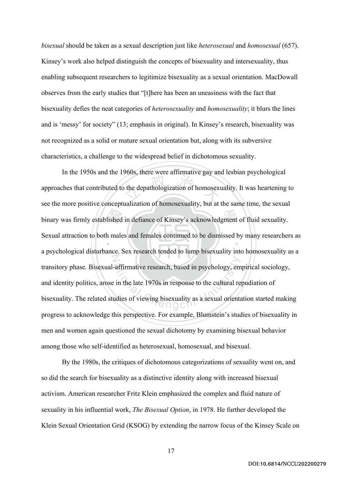*bisexual* should be taken as a sexual description just like *heterosexual* and *homosexual* (657). Kinsey's work also helped distinguish the concepts of bisexuality and intersexuality, thus enabling subsequent researchers to legitimize bisexuality as a sexual orientation. MacDowall observes from the early studies that "[t]here has been an uneasiness with the fact that bisexuality defies the neat categories of *heterosexuality* and *homosexuality*; it blurs the lines and is 'messy' for society" (13; emphasis in original). In Kinsey's research, bisexuality was not recognized as a solid or mature sexual orientation but, along with its subversive characteristics, a challenge to the widespread belief in dichotomous sexuality.

binary was firmly established in defiance of Kinsey's acknowledgment of fluid sexuality.<br>Sexual attraction to both males and females continued to be dismissed by many researche the depathologization of homosexu ‧ N affirmative research, based in psychology, em<br>
in the late 1970s in response to the cultural re<br>
udies of viewing bisexuality as a sexual orienta In the 1950s and the 1960s, there were affirmative gay and lesbian psychological approaches that contributed to the depathologization of homosexuality. It was heartening to see the more positive conceptualization of homosexuality, but at the same time, the sexual Sexual attraction to both males and females continued to be dismissed by many researchers as a psychological disturbance. Sex research tended to lump bisexuality into homosexuality as a transitory phase. Bisexual-affirmative research, based in psychology, empirical sociology, and identity politics, arose in the late 1970s in response to the cultural repudiation of bisexuality. The related studies of viewing bisexuality as a sexual orientation started making progress to acknowledge this perspective. For example, Blumstein's studies of bisexuality in men and women again questioned the sexual dichotomy by examining bisexual behavior among those who self-identified as heterosexual, homosexual, and bisexual.

By the 1980s, the critiques of dichotomous categorizations of sexuality went on, and so did the search for bisexuality as a distinctive identity along with increased bisexual activism. American researcher Fritz Klein emphasized the complex and fluid nature of sexuality in his influential work, *The Bisexual Option*, in 1978. He further developed the Klein Sexual Orientation Grid (KSOG) by extending the narrow focus of the Kinsey Scale on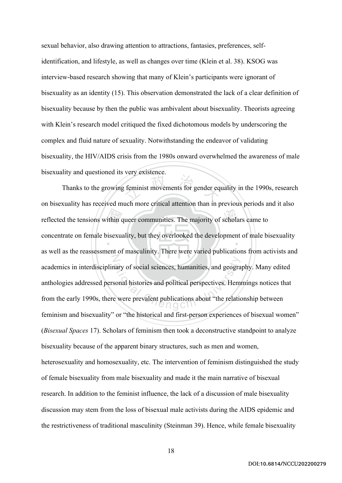sexual behavior, also drawing attention to attractions, fantasies, preferences, selfidentification, and lifestyle, as well as changes over time (Klein et al. 38). KSOG was interview-based research showing that many of Klein's participants were ignorant of bisexuality as an identity (15). This observation demonstrated the lack of a clear definition of bisexuality because by then the public was ambivalent about bisexuality. Theorists agreeing with Klein's research model critiqued the fixed dichotomous models by underscoring the complex and fluid nature of sexuality. Notwithstanding the endeavor of validating bisexuality, the HIV/AIDS crisis from the 1980s onward overwhelmed the awareness of male bisexuality and questioned its very existence.

reflected the tensions within queer communities. The majority of scholars came to<br>concentrate on female bisexuality, but they overlooked the development of male bi feminist movements for gender eq  $\ddot{\phantom{a}}$ N hary of social sciences, humanities, and geogra<br>sonal histories and political perspectives. Heme<br>were prevalent publications about "the relational" Thanks to the growing feminist movements for gender equality in the 1990s, research on bisexuality has received much more critical attention than in previous periods and it also concentrate on female bisexuality, but they overlooked the development of male bisexuality as well as the reassessment of masculinity. There were varied publications from activists and academics in interdisciplinary of social sciences, humanities, and geography. Many edited anthologies addressed personal histories and political perspectives. Hemmings notices that from the early 1990s, there were prevalent publications about "the relationship between feminism and bisexuality" or "the historical and first-person experiences of bisexual women" (*Bisexual Spaces* 17). Scholars of feminism then took a deconstructive standpoint to analyze bisexuality because of the apparent binary structures, such as men and women, heterosexuality and homosexuality, etc. The intervention of feminism distinguished the study of female bisexuality from male bisexuality and made it the main narrative of bisexual research. In addition to the feminist influence, the lack of a discussion of male bisexuality discussion may stem from the loss of bisexual male activists during the AIDS epidemic and the restrictiveness of traditional masculinity (Steinman 39). Hence, while female bisexuality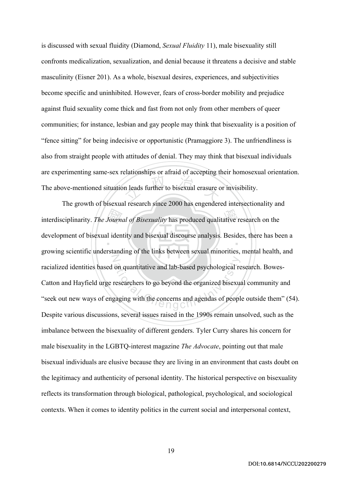meads further to bisexual erasure c is discussed with sexual fluidity (Diamond, *Sexual Fluidity* 11), male bisexuality still confronts medicalization, sexualization, and denial because it threatens a decisive and stable masculinity (Eisner 201). As a whole, bisexual desires, experiences, and subjectivities become specific and uninhibited. However, fears of cross-border mobility and prejudice against fluid sexuality come thick and fast from not only from other members of queer communities; for instance, lesbian and gay people may think that bisexuality is a position of "fence sitting" for being indecisive or opportunistic (Pramaggiore 3). The unfriendliness is also from straight people with attitudes of denial. They may think that bisexual individuals are experimenting same-sex relationships or afraid of accepting their homosexual orientation. The above-mentioned situation leads further to bisexual erasure or invisibility.

interdisciplinarity. *The Journal of Bisexuality* has produced qualitative research on the development of bisexual identity and bisexual discourse analysis. Besides, there has be graving assistifies understanding of the li ‧ N on quantitative and lab-based psychological re<br>researchers to go beyond the organized bisexual<br>gaging with the concerns and agendas of peopl The growth of bisexual research since 2000 has engendered intersectionality and development of bisexual identity and bisexual discourse analysis. Besides, there has been a growing scientific understanding of the links between sexual minorities, mental health, and racialized identities based on quantitative and lab-based psychological research. Bowes-Catton and Hayfield urge researchers to go beyond the organized bisexual community and "seek out new ways of engaging with the concerns and agendas of people outside them" (54). Despite various discussions, several issues raised in the 1990s remain unsolved, such as the imbalance between the bisexuality of different genders. Tyler Curry shares his concern for male bisexuality in the LGBTQ-interest magazine *The Advocate*, pointing out that male bisexual individuals are elusive because they are living in an environment that casts doubt on the legitimacy and authenticity of personal identity. The historical perspective on bisexuality reflects its transformation through biological, pathological, psychological, and sociological contexts. When it comes to identity politics in the current social and interpersonal context,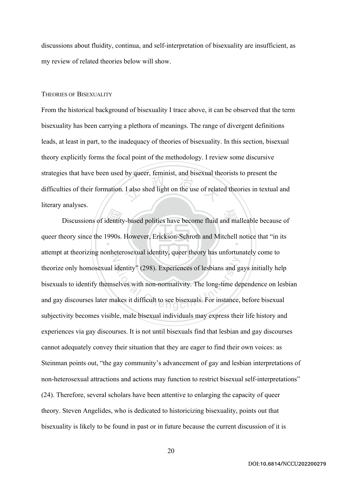discussions about fluidity, continua, and self-interpretation of bisexuality are insufficient, as my review of related theories below will show.

#### THEORIES OF BISEXUALITY

I also shed light on the use of relate From the historical background of bisexuality I trace above, it can be observed that the term bisexuality has been carrying a plethora of meanings. The range of divergent definitions leads, at least in part, to the inadequacy of theories of bisexuality. In this section, bisexual theory explicitly forms the focal point of the methodology. I review some discursive strategies that have been used by queer, feminist, and bisexual theorists to present the difficulties of their formation. I also shed light on the use of related theories in textual and literary analyses.

Discussions of identity-based politics have become fluid and malleable because of<br>neory since the 1990s. However, Erickson-Schroth and Mitchell notice that "in its queer theory since the 1990s. However, Erickson-Schroth and Mitchell notice that "in its N identity" (298). Experiences of lesbians and gas<br>selves with non-normativity. The long-time de-<br>vakes it difficult to see bisexuals. For instance, attempt at theorizing nonheterosexual identity, queer theory has unfortunately come to theorize only homosexual identity" (298). Experiences of lesbians and gays initially help bisexuals to identify themselves with non-normativity. The long-time dependence on lesbian and gay discourses later makes it difficult to see bisexuals. For instance, before bisexual subjectivity becomes visible, male bisexual individuals may express their life history and experiences via gay discourses. It is not until bisexuals find that lesbian and gay discourses cannot adequately convey their situation that they are eager to find their own voices: as Steinman points out, "the gay community's advancement of gay and lesbian interpretations of non-heterosexual attractions and actions may function to restrict bisexual self-interpretations" (24). Therefore, several scholars have been attentive to enlarging the capacity of queer theory. Steven Angelides, who is dedicated to historicizing bisexuality, points out that bisexuality is likely to be found in past or in future because the current discussion of it is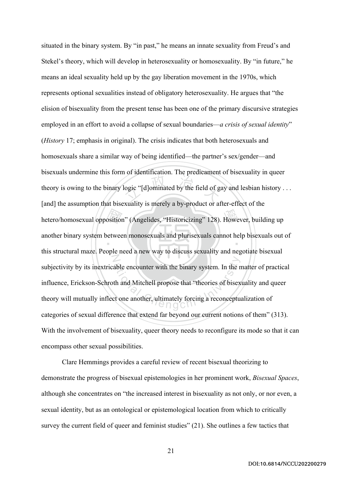hetero/homosexual opposition" (Angelides, "Historicizing" 128). However, building up<br>another binary system between monosexuals and plurisexuals cannot help bisexuals out<br>this structural maste. Beach aned a new way to discu logic "[d]ominated by the field of go ‧ N able encounter with the binary system. In the r<br>th and Mitchell propose that "theories of bisex<br>et one another, ultimately forcing a reconcepture situated in the binary system. By "in past," he means an innate sexuality from Freud's and Stekel's theory, which will develop in heterosexuality or homosexuality. By "in future," he means an ideal sexuality held up by the gay liberation movement in the 1970s, which represents optional sexualities instead of obligatory heterosexuality. He argues that "the elision of bisexuality from the present tense has been one of the primary discursive strategies employed in an effort to avoid a collapse of sexual boundaries—*a crisis of sexual identity*" (*History* 17; emphasis in original). The crisis indicates that both heterosexuals and homosexuals share a similar way of being identified—the partner's sex/gender—and bisexuals undermine this form of identification. The predicament of bisexuality in queer theory is owing to the binary logic "[d]ominated by the field of gay and lesbian history . . . [and] the assumption that bisexuality is merely a by-product or after-effect of the another binary system between monosexuals and plurisexuals cannot help bisexuals out of this structural maze. People need a new way to discuss sexuality and negotiate bisexual subjectivity by its inextricable encounter with the binary system. In the matter of practical influence, Erickson-Schroth and Mitchell propose that "theories of bisexuality and queer theory will mutually inflect one another, ultimately forcing a reconceptualization of categories of sexual difference that extend far beyond our current notions of them" (313). With the involvement of bisexuality, queer theory needs to reconfigure its mode so that it can encompass other sexual possibilities.

Clare Hemmings provides a careful review of recent bisexual theorizing to demonstrate the progress of bisexual epistemologies in her prominent work, *Bisexual Spaces*, although she concentrates on "the increased interest in bisexuality as not only, or nor even, a sexual identity, but as an ontological or epistemological location from which to critically survey the current field of queer and feminist studies" (21). She outlines a few tactics that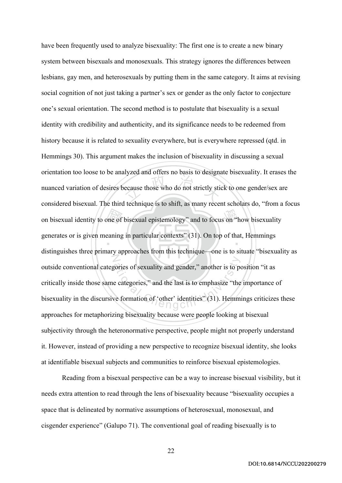on bisexual identity to one of bisexual epistemology" and to focus on "how bisexuality<br>generates or is given meaning in particular contexts" (31). On top of that, Hemmings<br>distinguishes these grimory expressions from this ecause those who do not strictly sti ‧ N pries of sexuality and gender," another is to perform at the last is to emphasize "the<br>expression of 'other' identities" (31). Hemmeters of  $\bigcap_{n=0}^{\infty}$ have been frequently used to analyze bisexuality: The first one is to create a new binary system between bisexuals and monosexuals. This strategy ignores the differences between lesbians, gay men, and heterosexuals by putting them in the same category. It aims at revising social cognition of not just taking a partner's sex or gender as the only factor to conjecture one's sexual orientation. The second method is to postulate that bisexuality is a sexual identity with credibility and authenticity, and its significance needs to be redeemed from history because it is related to sexuality everywhere, but is everywhere repressed (qtd. in Hemmings 30). This argument makes the inclusion of bisexuality in discussing a sexual orientation too loose to be analyzed and offers no basis to designate bisexuality. It erases the nuanced variation of desires because those who do not strictly stick to one gender/sex are considered bisexual. The third technique is to shift, as many recent scholars do, "from a focus generates or is given meaning in particular contexts" (31). On top of that, Hemmings distinguishes three primary approaches from this technique—one is to situate "bisexuality as outside conventional categories of sexuality and gender," another is to position "it as critically inside those same categories," and the last is to emphasize "the importance of bisexuality in the discursive formation of 'other' identities" (31). Hemmings criticizes these approaches for metaphorizing bisexuality because were people looking at bisexual subjectivity through the heteronormative perspective, people might not properly understand it. However, instead of providing a new perspective to recognize bisexual identity, she looks at identifiable bisexual subjects and communities to reinforce bisexual epistemologies.

Reading from a bisexual perspective can be a way to increase bisexual visibility, but it needs extra attention to read through the lens of bisexuality because "bisexuality occupies a space that is delineated by normative assumptions of heterosexual, monosexual, and cisgender experience" (Galupo 71). The conventional goal of reading bisexually is to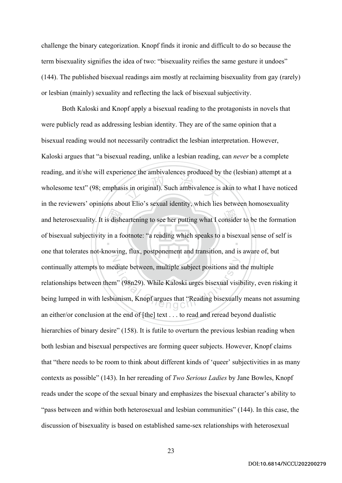challenge the binary categorization. Knopf finds it ironic and difficult to do so because the term bisexuality signifies the idea of two: "bisexuality reifies the same gesture it undoes" (144). The published bisexual readings aim mostly at reclaiming bisexuality from gay (rarely) or lesbian (mainly) sexuality and reflecting the lack of bisexual subjectivity.

and heterosexuality. It is disheartening to see her putting what I consider to be the formation<br>of bisexual subjectivity in a footnote: "a reading which speaks to a bisexual sense of self is<br>and that television and knowing  $\frac{1}{2}$  is in original). Such ambivalence is  $\ddot{\phantom{0}}$ N atiate between, multiple subject positions and the Manuscript (98n29). While Kaloski urges bisexual visitions which Wandams Knopf argues that "Reading bisexually Both Kaloski and Knopf apply a bisexual reading to the protagonists in novels that were publicly read as addressing lesbian identity. They are of the same opinion that a bisexual reading would not necessarily contradict the lesbian interpretation. However, Kaloski argues that "a bisexual reading, unlike a lesbian reading, can *never* be a complete reading, and it/she will experience the ambivalences produced by the (lesbian) attempt at a wholesome text" (98; emphasis in original). Such ambivalence is akin to what I have noticed in the reviewers' opinions about Elio's sexual identity, which lies between homosexuality of bisexual subjectivity in a footnote: "a reading which speaks to a bisexual sense of self is one that tolerates not-knowing, flux, postponement and transition, and is aware of, but continually attempts to mediate between, multiple subject positions and the multiple relationships between them" (98n29). While Kaloski urges bisexual visibility, even risking it being lumped in with lesbianism, Knopf argues that "Reading bisexually means not assuming an either/or conclusion at the end of [the] text . . . to read and reread beyond dualistic hierarchies of binary desire" (158). It is futile to overturn the previous lesbian reading when both lesbian and bisexual perspectives are forming queer subjects. However, Knopf claims that "there needs to be room to think about different kinds of 'queer' subjectivities in as many contexts as possible" (143). In her rereading of *Two Serious Ladies* by Jane Bowles, Knopf reads under the scope of the sexual binary and emphasizes the bisexual character's ability to "pass between and within both heterosexual and lesbian communities" (144). In this case, the discussion of bisexuality is based on established same-sex relationships with heterosexual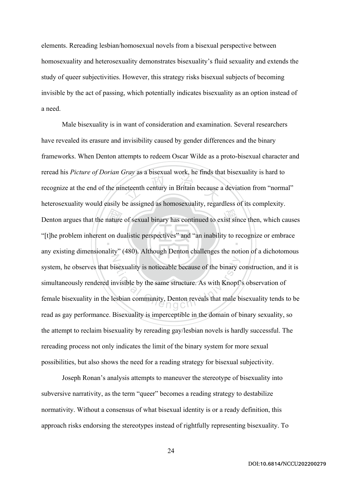elements. Rereading lesbian/homosexual novels from a bisexual perspective between homosexuality and heterosexuality demonstrates bisexuality's fluid sexuality and extends the study of queer subjectivities. However, this strategy risks bisexual subjects of becoming invisible by the act of passing, which potentially indicates bisexuality as an option instead of a need.

ature<br>on du example a sustainant wear, the finder of Denton argues that the nature of sexual binary has continued to exist since then, which causes ‧ N is exuality is noticeable because of the binary convisible by the same structure. As with Knopf<br>esbian community, Denton reveals that male b Male bisexuality is in want of consideration and examination. Several researchers have revealed its erasure and invisibility caused by gender differences and the binary frameworks. When Denton attempts to redeem Oscar Wilde as a proto-bisexual character and reread his *Picture of Dorian Gray* as a bisexual work, he finds that bisexuality is hard to recognize at the end of the nineteenth century in Britain because a deviation from "normal" heterosexuality would easily be assigned as homosexuality, regardless of its complexity. "[t]he problem inherent on dualistic perspectives" and "an inability to recognize or embrace any existing dimensionality" (480). Although Denton challenges the notion of a dichotomous system, he observes that bisexuality is noticeable because of the binary construction, and it is simultaneously rendered invisible by the same structure. As with Knopf's observation of female bisexuality in the lesbian community, Denton reveals that male bisexuality tends to be read as gay performance. Bisexuality is imperceptible in the domain of binary sexuality, so the attempt to reclaim bisexuality by rereading gay/lesbian novels is hardly successful. The rereading process not only indicates the limit of the binary system for more sexual possibilities, but also shows the need for a reading strategy for bisexual subjectivity.

Joseph Ronan's analysis attempts to maneuver the stereotype of bisexuality into subversive narrativity, as the term "queer" becomes a reading strategy to destabilize normativity. Without a consensus of what bisexual identity is or a ready definition, this approach risks endorsing the stereotypes instead of rightfully representing bisexuality. To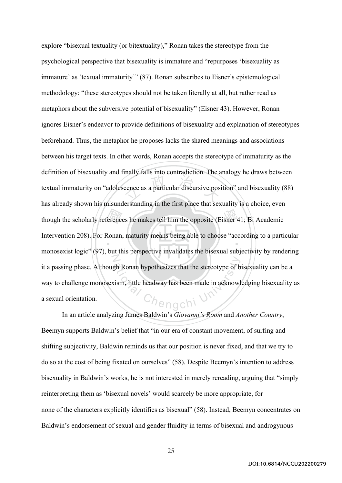though the scholarly references he makes tell him the opposite (Eisner 41; Bi Academic<br>Intervention 208). For Ronan, maturity means being able to choose "according to a parti-<br>menagemiet locie" (97), but this networking in cence as a particular discursive pos ‧ N gh Ronan hypothesizes that the stereotype of b<br>
ism, little headway has been made in acknowl<br>  $\bigcap_{i=1}^{\infty}$ explore "bisexual textuality (or bitextuality)," Ronan takes the stereotype from the psychological perspective that bisexuality is immature and "repurposes 'bisexuality as immature' as 'textual immaturity'" (87). Ronan subscribes to Eisner's epistemological methodology: "these stereotypes should not be taken literally at all, but rather read as metaphors about the subversive potential of bisexuality" (Eisner 43). However, Ronan ignores Eisner's endeavor to provide definitions of bisexuality and explanation of stereotypes beforehand. Thus, the metaphor he proposes lacks the shared meanings and associations between his target texts. In other words, Ronan accepts the stereotype of immaturity as the definition of bisexuality and finally falls into contradiction. The analogy he draws between textual immaturity on "adolescence as a particular discursive position" and bisexuality (88) has already shown his misunderstanding in the first place that sexuality is a choice, even Intervention 208). For Ronan, maturity means being able to choose "according to a particular monosexist logic" (97), but this perspective invalidates the bisexual subjectivity by rendering it a passing phase. Although Ronan hypothesizes that the stereotype of bisexuality can be a way to challenge monosexism, little headway has been made in acknowledging bisexuality as a sexual orientation.

In an article analyzing James Baldwin's *Giovanni's Room* and *Another Country*, Beemyn supports Baldwin's belief that "in our era of constant movement, of surfing and shifting subjectivity, Baldwin reminds us that our position is never fixed, and that we try to do so at the cost of being fixated on ourselves" (58). Despite Beemyn's intention to address bisexuality in Baldwin's works, he is not interested in merely rereading, arguing that "simply reinterpreting them as 'bisexual novels' would scarcely be more appropriate, for none of the characters explicitly identifies as bisexual" (58). Instead, Beemyn concentrates on Baldwin's endorsement of sexual and gender fluidity in terms of bisexual and androgynous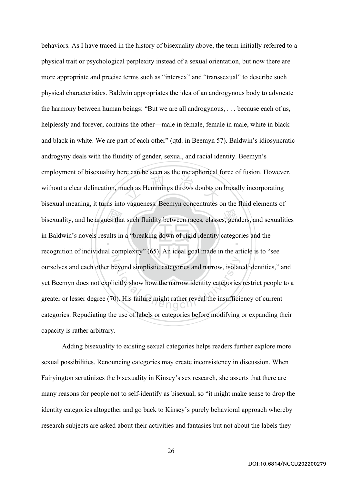bisexuality, and he argues that such fluidity between races, classes, genders, and sexualities<br>in Baldwin's novels results in a "breaking down of rigid identity categories and the<br>measurition of individual complexity" (65) and the state of the momentum<br>and the momentum of the state of the state of the state of the state of the state of the state of the state of<br>Eq. (2) ‧ N devond simplistic categories and narrow, isolatively show how the narrow identity categories<br>(i). His failure might rather reveal the insufficial behaviors. As I have traced in the history of bisexuality above, the term initially referred to a physical trait or psychological perplexity instead of a sexual orientation, but now there are more appropriate and precise terms such as "intersex" and "transsexual" to describe such physical characteristics. Baldwin appropriates the idea of an androgynous body to advocate the harmony between human beings: "But we are all androgynous, . . . because each of us, helplessly and forever, contains the other—male in female, female in male, white in black and black in white. We are part of each other" (qtd. in Beemyn 57). Baldwin's idiosyncratic androgyny deals with the fluidity of gender, sexual, and racial identity. Beemyn's employment of bisexuality here can be seen as the metaphorical force of fusion. However, without a clear delineation, much as Hemmings throws doubts on broadly incorporating bisexual meaning, it turns into vagueness. Beemyn concentrates on the fluid elements of in Baldwin's novels results in a "breaking down of rigid identity categories and the recognition of individual complexity" (65). An ideal goal made in the article is to "see ourselves and each other beyond simplistic categories and narrow, isolated identities," and yet Beemyn does not explicitly show how the narrow identity categories restrict people to a greater or lesser degree (70). His failure might rather reveal the insufficiency of current categories. Repudiating the use of labels or categories before modifying or expanding their capacity is rather arbitrary.

Adding bisexuality to existing sexual categories helps readers further explore more sexual possibilities. Renouncing categories may create inconsistency in discussion. When Fairyington scrutinizes the bisexuality in Kinsey's sex research, she asserts that there are many reasons for people not to self-identify as bisexual, so "it might make sense to drop the identity categories altogether and go back to Kinsey's purely behavioral approach whereby research subjects are asked about their activities and fantasies but not about the labels they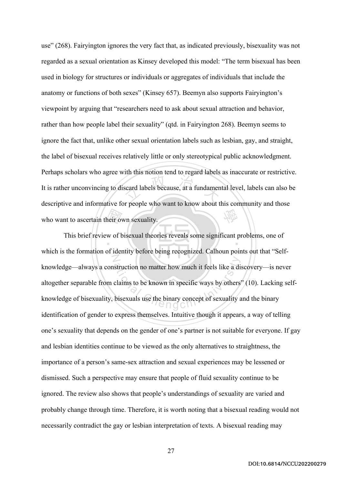Example de la contrade de la contrade de la fundament 學 use" (268). Fairyington ignores the very fact that, as indicated previously, bisexuality was not regarded as a sexual orientation as Kinsey developed this model: "The term bisexual has been used in biology for structures or individuals or aggregates of individuals that include the anatomy or functions of both sexes" (Kinsey 657). Beemyn also supports Fairyington's viewpoint by arguing that "researchers need to ask about sexual attraction and behavior, rather than how people label their sexuality" (qtd. in Fairyington 268). Beemyn seems to ignore the fact that, unlike other sexual orientation labels such as lesbian, gay, and straight, the label of bisexual receives relatively little or only stereotypical public acknowledgment. Perhaps scholars who agree with this notion tend to regard labels as inaccurate or restrictive. It is rather unconvincing to discard labels because, at a fundamental level, labels can also be descriptive and informative for people who want to know about this community and those who want to ascertain their own sexuality.

reir over<br>w of b  $\ddot{\phantom{a}}$ N struction no matter how much it feels like a di<br>claims to be known in specific ways by others<br>bisexuals use the binary concept of sexuality a This brief review of bisexual theories reveals some significant problems, one of which is the formation of identity before being recognized. Calhoun points out that "Selfknowledge—always a construction no matter how much it feels like a discovery—is never altogether separable from claims to be known in specific ways by others" (10). Lacking selfknowledge of bisexuality, bisexuals use the binary concept of sexuality and the binary identification of gender to express themselves. Intuitive though it appears, a way of telling one's sexuality that depends on the gender of one's partner is not suitable for everyone. If gay and lesbian identities continue to be viewed as the only alternatives to straightness, the importance of a person's same-sex attraction and sexual experiences may be lessened or dismissed. Such a perspective may ensure that people of fluid sexuality continue to be ignored. The review also shows that people's understandings of sexuality are varied and probably change through time. Therefore, it is worth noting that a bisexual reading would not necessarily contradict the gay or lesbian interpretation of texts. A bisexual reading may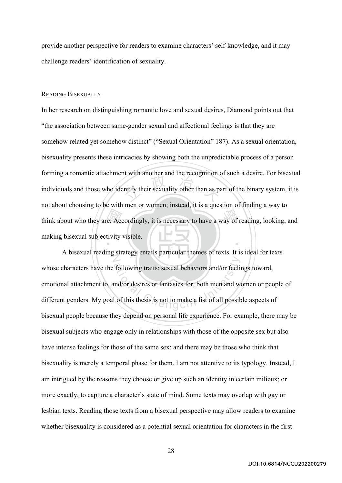provide another perspective for readers to examine characters' self-knowledge, and it may challenge readers' identification of sexuality.

# READING BISEXUALLY

think about who they are. Accordingly, it is necessary to have a way of reading, looking, and making bisexual subjectivity visible. the wind about and the recognition ‧ In her research on distinguishing romantic love and sexual desires, Diamond points out that "the association between same-gender sexual and affectional feelings is that they are somehow related yet somehow distinct" ("Sexual Orientation" 187). As a sexual orientation, bisexuality presents these intricacies by showing both the unpredictable process of a person forming a romantic attachment with another and the recognition of such a desire. For bisexual individuals and those who identify their sexuality other than as part of the binary system, it is not about choosing to be with men or women; instead, it is a question of finding a way to making bisexual subjectivity visible.

Z following traits: sexual behaviors and/or feeling<br>and/or desires or fantasies for, both men and we<br>do this thesis is not to make a list of all possit A bisexual reading strategy entails particular themes of texts. It is ideal for texts whose characters have the following traits: sexual behaviors and/or feelings toward, emotional attachment to, and/or desires or fantasies for, both men and women or people of different genders. My goal of this thesis is not to make a list of all possible aspects of bisexual people because they depend on personal life experience. For example, there may be bisexual subjects who engage only in relationships with those of the opposite sex but also have intense feelings for those of the same sex; and there may be those who think that bisexuality is merely a temporal phase for them. I am not attentive to its typology. Instead, I am intrigued by the reasons they choose or give up such an identity in certain milieux; or more exactly, to capture a character's state of mind. Some texts may overlap with gay or lesbian texts. Reading those texts from a bisexual perspective may allow readers to examine whether bisexuality is considered as a potential sexual orientation for characters in the first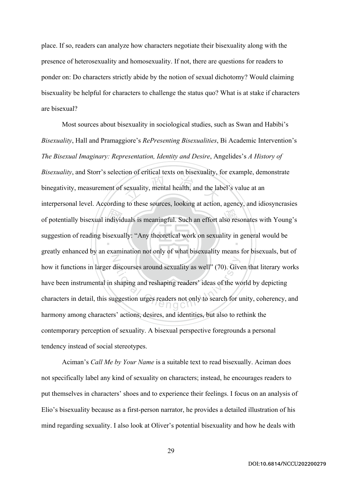place. If so, readers can analyze how characters negotiate their bisexuality along with the presence of heterosexuality and homosexuality. If not, there are questions for readers to ponder on: Do characters strictly abide by the notion of sexual dichotomy? Would claiming bisexuality be helpful for characters to challenge the status quo? What is at stake if characters are bisexual?

of potentially bisexual individuals is meaningful. Such an effort also resonates with Young's<br>suggestion of reading bisexually: "Any theoretical work on sexuality in general would be<br>greatly enhanced by an examination not sexuality, mental health, and the label ‧ N discourses around sexuality as well" (70). Give<br>shaping and reshaping readers' ideas of the we<br>uggestion urges readers not only to search for u Most sources about bisexuality in sociological studies, such as Swan and Habibi's *Bisexuality*, Hall and Pramaggiore's *RePresenting Bisexualities*, Bi Academic Intervention's *The Bisexual Imaginary: Representation, Identity and Desire*, Angelides's *A History of Bisexuality*, and Storr's selection of critical texts on bisexuality, for example, demonstrate binegativity, measurement of sexuality, mental health, and the label's value at an interpersonal level. According to these sources, looking at action, agency, and idiosyncrasies suggestion of reading bisexually: "Any theoretical work on sexuality in general would be greatly enhanced by an examination not only of what bisexuality means for bisexuals, but of how it functions in larger discourses around sexuality as well" (70). Given that literary works have been instrumental in shaping and reshaping readers' ideas of the world by depicting characters in detail, this suggestion urges readers not only to search for unity, coherency, and harmony among characters' actions, desires, and identities, but also to rethink the contemporary perception of sexuality. A bisexual perspective foregrounds a personal tendency instead of social stereotypes.

Aciman's *Call Me by Your Name* is a suitable text to read bisexually. Aciman does not specifically label any kind of sexuality on characters; instead, he encourages readers to put themselves in characters' shoes and to experience their feelings. I focus on an analysis of Elio's bisexuality because as a first-person narrator, he provides a detailed illustration of his mind regarding sexuality. I also look at Oliver's potential bisexuality and how he deals with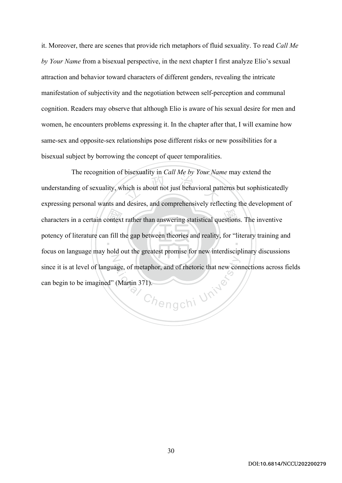it. Moreover, there are scenes that provide rich metaphors of fluid sexuality. To read *Call Me by Your Name* from a bisexual perspective, in the next chapter I first analyze Elio's sexual attraction and behavior toward characters of different genders, revealing the intricate manifestation of subjectivity and the negotiation between self-perception and communal cognition. Readers may observe that although Elio is aware of his sexual desire for men and women, he encounters problems expressing it. In the chapter after that, I will examine how same-sex and opposite-sex relationships pose different risks or new possibilities for a bisexual subject by borrowing the concept of queer temporalities.

characters in a certain context rather than answering statistical questions. The inventive<br>potency of literature can fill the gap between theories and reality, for "literary training a<br>focus on language may hald out the em hich is about not just behavioral pat ‧ N Chengchi University The recognition of bisexuality in *Call Me by Your Name* may extend the understanding of sexuality, which is about not just behavioral patterns but sophisticatedly expressing personal wants and desires, and comprehensively reflecting the development of potency of literature can fill the gap between theories and reality, for "literary training and focus on language may hold out the greatest promise for new interdisciplinary discussions since it is at level of language, of metaphor, and of rhetoric that new connections across fields can begin to be imagined" (Martin 371).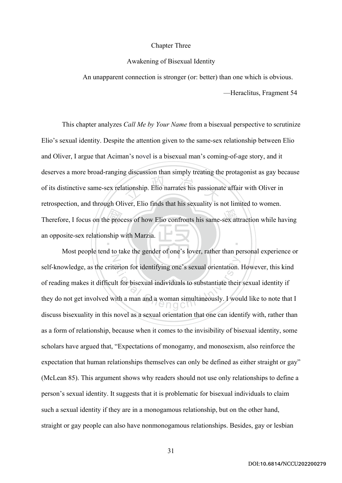## Chapter Three

## Awakening of Bisexual Identity

An unapparent connection is stronger (or: better) than one which is obvious.

—Heraclitus, Fragment 54

Therefore, I focus on the process of how Elio confronts his same-sex attraction while having<br>an opposite-sex relationship with Marzia. and the construction that the contracts his passional ‧ This chapter analyzes *Call Me by Your Name* from a bisexual perspective to scrutinize Elio's sexual identity. Despite the attention given to the same-sex relationship between Elio and Oliver, I argue that Aciman's novel is a bisexual man's coming-of-age story, and it deserves a more broad-ranging discussion than simply treating the protagonist as gay because of its distinctive same-sex relationship. Elio narrates his passionate affair with Oliver in retrospection, and through Oliver, Elio finds that his sexuality is not limited to women. an opposite-sex relationship with Marzia.

N erion for identifying one's sexual orientation.<br>
alt for bisexual individuals to substantiate their<br>
dith a man and a woman simultaneously. I wou Most people tend to take the gender of one's lover, rather than personal experience or self-knowledge, as the criterion for identifying one's sexual orientation. However, this kind of reading makes it difficult for bisexual individuals to substantiate their sexual identity if they do not get involved with a man and a woman simultaneously. I would like to note that I discuss bisexuality in this novel as a sexual orientation that one can identify with, rather than as a form of relationship, because when it comes to the invisibility of bisexual identity, some scholars have argued that, "Expectations of monogamy, and monosexism, also reinforce the expectation that human relationships themselves can only be defined as either straight or gay" (McLean 85). This argument shows why readers should not use only relationships to define a person's sexual identity. It suggests that it is problematic for bisexual individuals to claim such a sexual identity if they are in a monogamous relationship, but on the other hand, straight or gay people can also have nonmonogamous relationships. Besides, gay or lesbian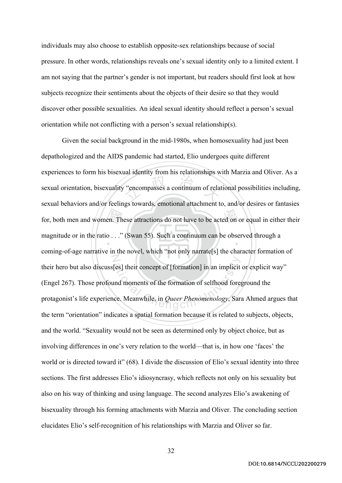individuals may also choose to establish opposite-sex relationships because of social pressure. In other words, relationships reveals one's sexual identity only to a limited extent. I am not saying that the partner's gender is not important, but readers should first look at how subjects recognize their sentiments about the objects of their desire so that they would discover other possible sexualities. An ideal sexual identity should reflect a person's sexual orientation while not conflicting with a person's sexual relationship(s).

 $\sum_{n=1}^{\infty}$ <br> $\sum_{n=1}^{\infty}$ "encompasses a continuum of relationships" for, both men and women. These attractions do not have to be acted on or equal in either their  $\ddot{\phantom{0}}$ N [es] their concept of [formation] in an implicit<br>and moments of the formation of selfhood fore:<br>ce. Meanwhile, in *Queer Phenomenology*, Sar. Given the social background in the mid-1980s, when homosexuality had just been depathologized and the AIDS pandemic had started, Elio undergoes quite different experiences to form his bisexual identity from his relationships with Marzia and Oliver. As a sexual orientation, bisexuality "encompasses a continuum of relational possibilities including, sexual behaviors and/or feelings towards, emotional attachment to, and/or desires or fantasies magnitude or in the ratio . . ." (Swan 55). Such a continuum can be observed through a coming-of-age narrative in the novel, which "not only narrate[s] the character formation of their hero but also discuss[es] their concept of [formation] in an implicit or explicit way" (Engel 267). Those profound moments of the formation of selfhood foreground the protagonist's life experience. Meanwhile, in *Queer Phenomenology*, Sara Ahmed argues that the term "orientation" indicates a spatial formation because it is related to subjects, objects, and the world. "Sexuality would not be seen as determined only by object choice, but as involving differences in one's very relation to the world—that is, in how one 'faces' the world or is directed toward it" (68). I divide the discussion of Elio's sexual identity into three sections. The first addresses Elio's idiosyncrasy, which reflects not only on his sexuality but also on his way of thinking and using language. The second analyzes Elio's awakening of bisexuality through his forming attachments with Marzia and Oliver. The concluding section elucidates Elio's self-recognition of his relationships with Marzia and Oliver so far.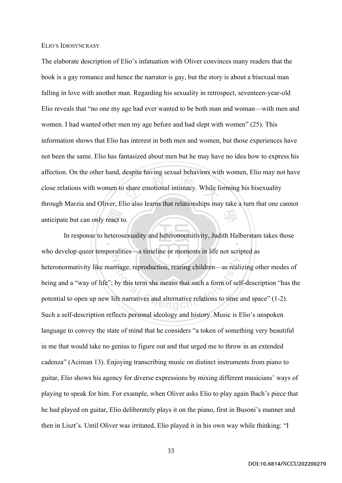## ELIO'S IDIOSYNCRASY

share emotional intimacy. While for 學 The elaborate description of Elio's infatuation with Oliver convinces many readers that the book is a gay romance and hence the narrator is gay, but the story is about a bisexual man falling in love with another man. Regarding his sexuality in retrospect, seventeen-year-old Elio reveals that "no one my age had ever wanted to be both man and woman—with men and women. I had wanted other men my age before and had slept with women" (25). This information shows that Elio has interest in both men and women, but those experiences have not been the same. Elio has fantasized about men but he may have no idea how to express his affection. On the other hand, despite having sexual behaviors with women, Elio may not have close relations with women to share emotional intimacy. While forming his bisexuality through Marzia and Oliver, Elio also learns that relationships may take a turn that one cannot anticipate but can only react to.

react t ‧ N Friage, reproduction, rearing children—as reali<br>by this term she means that such a form of sel-<br>ife narratives and alternative relations to time a In response to heterosexuality and heteronormitivity, Judith Halberstam takes those who develop queer temporalities—a timeline or moments in life not scripted as heteronormativity like marriage, reproduction, rearing children—as realizing other modes of being and a "way of life"; by this term she means that such a form of self-description "has the potential to open up new life narratives and alternative relations to time and space" (1-2). Such a self-description reflects personal ideology and history. Music is Elio's unspoken language to convey the state of mind that he considers "a token of something very beautiful in me that would take no genius to figure out and that urged me to throw in an extended cadenza" (Aciman 13). Enjoying transcribing music on distinct instruments from piano to guitar, Elio shows his agency for diverse expressions by mixing different musicians' ways of playing to speak for him. For example, when Oliver asks Elio to play again Bach's piece that he had played on guitar, Elio deliberately plays it on the piano, first in Busoni's manner and then in Liszt's. Until Oliver was irritated, Elio played it in his own way while thinking: "I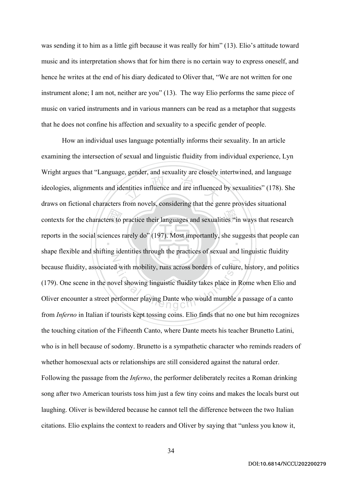was sending it to him as a little gift because it was really for him" (13). Elio's attitude toward music and its interpretation shows that for him there is no certain way to express oneself, and hence he writes at the end of his diary dedicated to Oliver that, "We are not written for one instrument alone; I am not, neither are you" (13). The way Elio performs the same piece of music on varied instruments and in various manners can be read as a metaphor that suggests that he does not confine his affection and sexuality to a specific gender of people.

contexts for the characters to practice their languages and sexualities "in ways that research<br>reports in the social sciences rarely do" (197). Most importantly, she suggests that people ca<br>characteristic and chifting iden example and are influenced<br>
the state of the state of the state of the state of the state of the state of the state of the state of the state of the state of the state of the state of the state of the state of the state of ‧ N d with mobility, runs across borders of culture<br>vel showing linguistic fluidity takes place in R<br>erformer playing Dante who would mumble a How an individual uses language potentially informs their sexuality. In an article examining the intersection of sexual and linguistic fluidity from individual experience, Lyn Wright argues that "Language, gender, and sexuality are closely intertwined, and language ideologies, alignments and identities influence and are influenced by sexualities" (178). She draws on fictional characters from novels, considering that the genre provides situational reports in the social sciences rarely do" (197). Most importantly, she suggests that people can shape flexible and shifting identities through the practices of sexual and linguistic fluidity because fluidity, associated with mobility, runs across borders of culture, history, and politics (179). One scene in the novel showing linguistic fluidity takes place in Rome when Elio and Oliver encounter a street performer playing Dante who would mumble a passage of a canto from *Inferno* in Italian if tourists kept tossing coins. Elio finds that no one but him recognizes the touching citation of the Fifteenth Canto, where Dante meets his teacher Brunetto Latini, who is in hell because of sodomy. Brunetto is a sympathetic character who reminds readers of whether homosexual acts or relationships are still considered against the natural order. Following the passage from the *Inferno*, the performer deliberately recites a Roman drinking song after two American tourists toss him just a few tiny coins and makes the locals burst out laughing. Oliver is bewildered because he cannot tell the difference between the two Italian citations. Elio explains the context to readers and Oliver by saying that "unless you know it,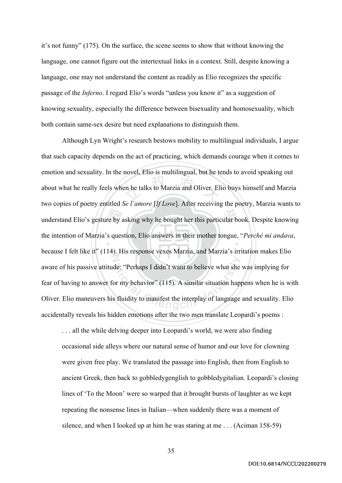it's not funny" (175). On the surface, the scene seems to show that without knowing the language, one cannot figure out the intertextual links in a context. Still, despite knowing a language, one may not understand the content as readily as Elio recognizes the specific passage of the *Inferno*. I regard Elio's words "unless you know it" as a suggestion of knowing sexuality, especially the difference between bisexuality and homosexuality, which both contain same-sex desire but need explanations to distinguish them.

understand Elio's gesture by asking why he bought her this particular book. Despite knowing<br>the intention of Marzia's question, Elio answers in their mother tongue, "*Perché mi andava*,<br>because I felt like it" (114). His r en he talks to Marzia and Oliver. El ‧ N de: "Perhaps I didn't want to believe what she<br>or my behavior" (115). A similar situation happentually to manifest the interplay of language Although Lyn Wright's research bestows mobility to multilingual individuals, I argue that such capacity depends on the act of practicing, which demands courage when it comes to emotion and sexuality. In the novel, Elio is multilingual, but he tends to avoid speaking out about what he really feels when he talks to Marzia and Oliver. Elio buys himself and Marzia two copies of poetry entitled *Se l'amore* [*If Love*]. After receiving the poetry, Marzia wants to the intention of Marzia's question, Elio answers in their mother tongue, "*Perché mi andava*, because I felt like it" (114). His response vexes Marzia, and Marzia's irritation makes Elio aware of his passive attitude: "Perhaps I didn't want to believe what she was implying for fear of having to answer for my behavior" (115). A similar situation happens when he is with Oliver. Elio maneuvers his fluidity to manifest the interplay of language and sexuality. Elio accidentally reveals his hidden emotions after the two men translate Leopardi's poems :

. . . all the while delving deeper into Leopardi's world, we were also finding occasional side alleys where our natural sense of humor and our love for clowning were given free play. We translated the passage into English, then from English to ancient Greek, then back to gobbledygenglish to gobbledygitalian. Leopardi's closing lines of 'To the Moon' were so warped that it brought bursts of laughter as we kept repeating the nonsense lines in Italian—when suddenly there was a moment of silence, and when I looked up at him he was staring at me . . . (Aciman 158-59)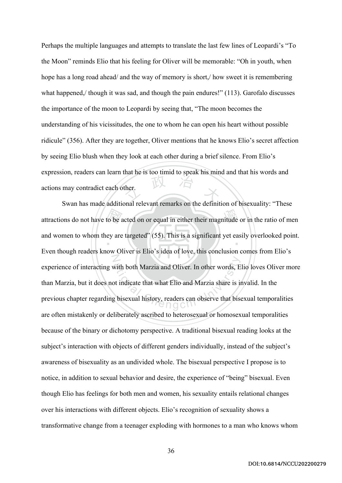<sup>立</sup> <sup>政</sup> <sup>治</sup> <sup>大</sup> Perhaps the multiple languages and attempts to translate the last few lines of Leopardi's "To the Moon" reminds Elio that his feeling for Oliver will be memorable: "Oh in youth, when hope has a long road ahead/ and the way of memory is short, how sweet it is remembering what happened,/ though it was sad, and though the pain endures!" (113). Garofalo discusses the importance of the moon to Leopardi by seeing that, "The moon becomes the understanding of his vicissitudes, the one to whom he can open his heart without possible ridicule" (356). After they are together, Oliver mentions that he knows Elio's secret affection by seeing Elio blush when they look at each other during a brief silence. From Elio's expression, readers can learn that he is too timid to speak his mind and that his words and actions may contradict each other.

attractions do not have to be acted on or equal in either their magnitude or in the ratio of men<br>and women to whom they are targeted" (55). This is a significant yet easily overlooked point. ‧ N with both Marzia and Oliver. In other words, E<br>bt indicate that what Elio and Marzia share is in<br>g bisexual history, readers can observe that bise Swan has made additional relevant remarks on the definition of bisexuality: "These and women to whom they are targeted" (55). This is a significant yet easily overlooked point. Even though readers know Oliver is Elio's idea of love, this conclusion comes from Elio's experience of interacting with both Marzia and Oliver. In other words, Elio loves Oliver more than Marzia, but it does not indicate that what Elio and Marzia share is invalid. In the previous chapter regarding bisexual history, readers can observe that bisexual temporalities are often mistakenly or deliberately ascribed to heterosexual or homosexual temporalities because of the binary or dichotomy perspective. A traditional bisexual reading looks at the subject's interaction with objects of different genders individually, instead of the subject's awareness of bisexuality as an undivided whole. The bisexual perspective I propose is to notice, in addition to sexual behavior and desire, the experience of "being" bisexual. Even though Elio has feelings for both men and women, his sexuality entails relational changes over his interactions with different objects. Elio's recognition of sexuality shows a transformative change from a teenager exploding with hormones to a man who knows whom

DOI:10.6814/NCCU202200279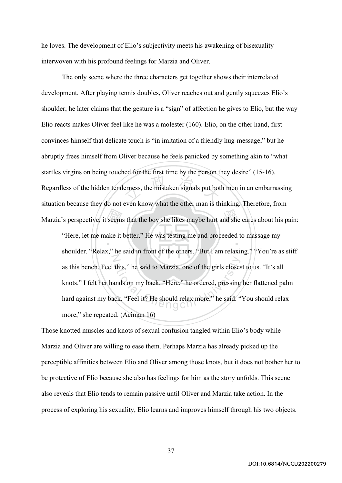he loves. The development of Elio's subjectivity meets his awakening of bisexuality interwoven with his profound feelings for Marzia and Oliver.

erness, the mistaken signals put bot The only scene where the three characters get together shows their interrelated development. After playing tennis doubles, Oliver reaches out and gently squeezes Elio's shoulder; he later claims that the gesture is a "sign" of affection he gives to Elio, but the way Elio reacts makes Oliver feel like he was a molester (160). Elio, on the other hand, first convinces himself that delicate touch is "in imitation of a friendly hug-message," but he abruptly frees himself from Oliver because he feels panicked by something akin to "what startles virgins on being touched for the first time by the person they desire" (15-16). Regardless of the hidden tenderness, the mistaken signals put both men in an embarrassing situation because they do not even know what the other man is thinking. Therefore, from

Marzia's perspective, it seems that the boy she likes maybe hurt and she cares about his pain:<br>
"Here, let me make it better." He was testing me and proceeded to massage my<br>
shoulder "Pelay" he said in front of the others ‧ N this," he said to Marzia, one of the girls closes<br>ands on my back. "Here," he ordered, pressing<br>ck. "Feel it? He should relax more," he said. " "Here, let me make it better." He was testing me and proceeded to massage my shoulder. "Relax," he said in front of the others. "But I am relaxing." "You're as stiff as this bench. Feel this," he said to Marzia, one of the girls closest to us. "It's all knots." I felt her hands on my back. "Here," he ordered, pressing her flattened palm hard against my back. "Feel it? He should relax more," he said. "You should relax more," she repeated. (Aciman 16)

Those knotted muscles and knots of sexual confusion tangled within Elio's body while Marzia and Oliver are willing to ease them. Perhaps Marzia has already picked up the perceptible affinities between Elio and Oliver among those knots, but it does not bother her to be protective of Elio because she also has feelings for him as the story unfolds. This scene also reveals that Elio tends to remain passive until Oliver and Marzia take action. In the process of exploring his sexuality, Elio learns and improves himself through his two objects.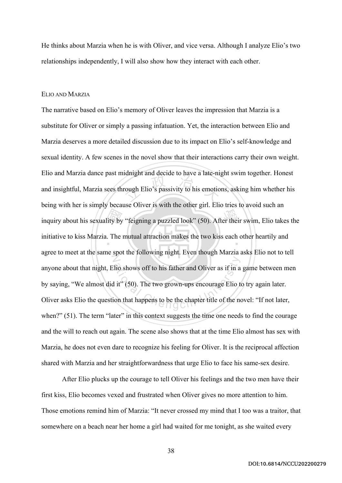He thinks about Marzia when he is with Oliver, and vice versa. Although I analyze Elio's two relationships independently, I will also show how they interact with each other.

## ELIO AND MARZIA

inquiry about his sexuality by "feigning a puzzled look" (50). After their swim, Elio takes the initiative to kiss Marzia. The mutual attraction makes the two kiss each other heartily and rough Elio's passivity to his emotion initiative to kiss Marzia. The mutual attraction makes the two kiss each other heartily and Z It is shown of the his father and Oliver as if in a<br>l it" (50). The two grown-ups encourage Elio to<br>on that happens to be the chapter title of the no The narrative based on Elio's memory of Oliver leaves the impression that Marzia is a substitute for Oliver or simply a passing infatuation. Yet, the interaction between Elio and Marzia deserves a more detailed discussion due to its impact on Elio's self-knowledge and sexual identity. A few scenes in the novel show that their interactions carry their own weight. Elio and Marzia dance past midnight and decide to have a late-night swim together. Honest and insightful, Marzia sees through Elio's passivity to his emotions, asking him whether his being with her is simply because Oliver is with the other girl. Elio tries to avoid such an agree to meet at the same spot the following night. Even though Marzia asks Elio not to tell anyone about that night, Elio shows off to his father and Oliver as if in a game between men by saying, "We almost did it" (50). The two grown-ups encourage Elio to try again later. Oliver asks Elio the question that happens to be the chapter title of the novel: "If not later, when?" (51). The term "later" in this context suggests the time one needs to find the courage and the will to reach out again. The scene also shows that at the time Elio almost has sex with Marzia, he does not even dare to recognize his feeling for Oliver. It is the reciprocal affection shared with Marzia and her straightforwardness that urge Elio to face his same-sex desire.

After Elio plucks up the courage to tell Oliver his feelings and the two men have their first kiss, Elio becomes vexed and frustrated when Oliver gives no more attention to him. Those emotions remind him of Marzia: "It never crossed my mind that I too was a traitor, that somewhere on a beach near her home a girl had waited for me tonight, as she waited every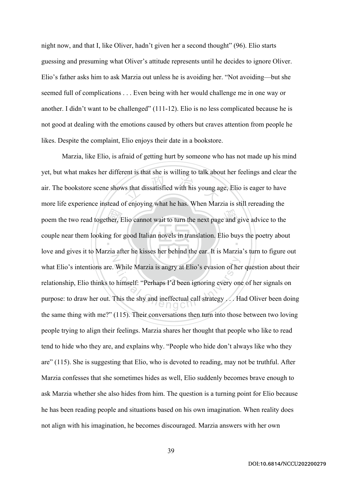night now, and that I, like Oliver, hadn't given her a second thought" (96). Elio starts guessing and presuming what Oliver's attitude represents until he decides to ignore Oliver. Elio's father asks him to ask Marzia out unless he is avoiding her. "Not avoiding—but she seemed full of complications . . . Even being with her would challenge me in one way or another. I didn't want to be challenged" (111-12). Elio is no less complicated because he is not good at dealing with the emotions caused by others but craves attention from people he likes. Despite the complaint, Elio enjoys their date in a bookstore.

poem the two read together, Elio cannot wait to turn the next page and give advice to the<br>couple near them looking for good Italian novels in translation. Elio buys the poetry about<br>law and gives it to Marria after he kies  $\frac{1}{2}$  is that dissatisfied with his young application of the  $\frac{1}{2}$  of  $\frac{1}{2}$  of  $\frac{1}{2}$  of  $\frac{1}{2}$  of  $\frac{1}{2}$  of  $\frac{1}{2}$  of  $\frac{1}{2}$  of  $\frac{1}{2}$  of  $\frac{1}{2}$  of  $\frac{1}{2}$  of  $\frac{1}{2}$  of  $\frac{1}{2}$  or  $\ddot{\phantom{0}}$ N While Marzia is angry at Elio's evasion of her<br>himself: "Perhaps I'd been ignoring every one<br>This the shy and ineffectual call strategy.... Here  $\bigcap_{n=0}^{\infty}$ Marzia, like Elio, is afraid of getting hurt by someone who has not made up his mind yet, but what makes her different is that she is willing to talk about her feelings and clear the air. The bookstore scene shows that dissatisfied with his young age, Elio is eager to have more life experience instead of enjoying what he has. When Marzia is still rereading the couple near them looking for good Italian novels in translation. Elio buys the poetry about love and gives it to Marzia after he kisses her behind the ear. It is Marzia's turn to figure out what Elio's intentions are. While Marzia is angry at Elio's evasion of her question about their relationship, Elio thinks to himself: "Perhaps I'd been ignoring every one of her signals on purpose: to draw her out. This the shy and ineffectual call strategy . . . Had Oliver been doing the same thing with me?" (115). Their conversations then turn into those between two loving people trying to align their feelings. Marzia shares her thought that people who like to read tend to hide who they are, and explains why. "People who hide don't always like who they are" (115). She is suggesting that Elio, who is devoted to reading, may not be truthful. After Marzia confesses that she sometimes hides as well, Elio suddenly becomes brave enough to ask Marzia whether she also hides from him. The question is a turning point for Elio because he has been reading people and situations based on his own imagination. When reality does not align with his imagination, he becomes discouraged. Marzia answers with her own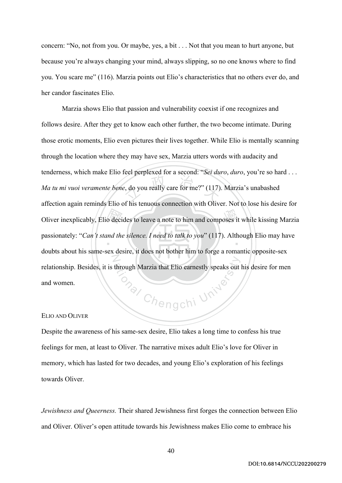concern: "No, not from you. Or maybe, yes, a bit . . . Not that you mean to hurt anyone, but because you're always changing your mind, always slipping, so no one knows where to find you. You scare me" (116). Marzia points out Elio's characteristics that no others ever do, and her candor fascinates Elio.

Oliver inexplicably, Elio decides to leave a note to him and composes it while kissing Marzia<br>passionately: "Can't stand the silence. I need to talk to you" (117). Although Elio may have<br>devite short his series are desired  $\mu$ , do you really care for me?" (117)  $\ddot{\ }$ N **onal Chengchi University** Marzia shows Elio that passion and vulnerability coexist if one recognizes and follows desire. After they get to know each other further, the two become intimate. During those erotic moments, Elio even pictures their lives together. While Elio is mentally scanning through the location where they may have sex, Marzia utters words with audacity and tenderness, which make Elio feel perplexed for a second: "*Sei duro*, *duro*, you're so hard . . . *Ma tu mi vuoi veramente bene*, do you really care for me?" (117). Marzia's unabashed affection again reminds Elio of his tenuous connection with Oliver. Not to lose his desire for passionately: "*Can't stand the silence. I need to talk to you*" (117). Although Elio may have doubts about his same-sex desire, it does not bother him to forge a romantic opposite-sex relationship. Besides, it is through Marzia that Elio earnestly speaks out his desire for men and women.

## ELIO AND OLIVER

Despite the awareness of his same-sex desire, Elio takes a long time to confess his true feelings for men, at least to Oliver. The narrative mixes adult Elio's love for Oliver in memory, which has lasted for two decades, and young Elio's exploration of his feelings towards Oliver.

*Jewishness and Queerness.* Their shared Jewishness first forges the connection between Elio and Oliver. Oliver's open attitude towards his Jewishness makes Elio come to embrace his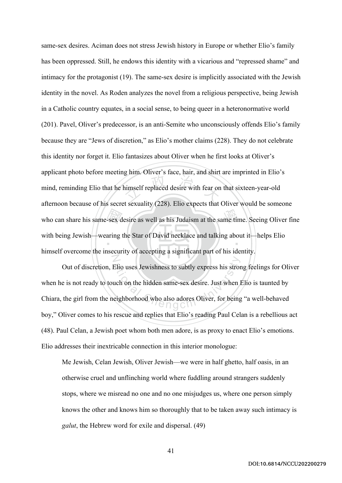who can share his same-sex desire as well as his Judaism at the same time. Seeing Oliver fine<br>with being Jewish—wearing the Star of David necklace and talking about it—helps Elio<br>himself examents in inequality of exacting imself replaced desire with fear on ‧ N same-sex desires. Aciman does not stress Jewish history in Europe or whether Elio's family has been oppressed. Still, he endows this identity with a vicarious and "repressed shame" and intimacy for the protagonist (19). The same-sex desire is implicitly associated with the Jewish identity in the novel. As Roden analyzes the novel from a religious perspective, being Jewish in a Catholic country equates, in a social sense, to being queer in a heteronormative world (201). Pavel, Oliver's predecessor, is an anti-Semite who unconsciously offends Elio's family because they are "Jews of discretion," as Elio's mother claims (228). They do not celebrate this identity nor forget it. Elio fantasizes about Oliver when he first looks at Oliver's applicant photo before meeting him. Oliver's face, hair, and shirt are imprinted in Elio's mind, reminding Elio that he himself replaced desire with fear on that sixteen-year-old afternoon because of his secret sexuality (228). Elio expects that Oliver would be someone with being Jewish—wearing the Star of David necklace and talking about it—helps Elio himself overcome the insecurity of accepting a significant part of his identity.

Elio uses Jewishness to subtly express his stron<br>uch on the hidden same-sex desire. Just when I<br>eighborhood who also adores Oliver, for being Out of discretion, Elio uses Jewishness to subtly express his strong feelings for Oliver when he is not ready to touch on the hidden same-sex desire. Just when Elio is taunted by Chiara, the girl from the neighborhood who also adores Oliver, for being "a well-behaved boy," Oliver comes to his rescue and replies that Elio's reading Paul Celan is a rebellious act (48). Paul Celan, a Jewish poet whom both men adore, is as proxy to enact Elio's emotions. Elio addresses their inextricable connection in this interior monologue:

Me Jewish, Celan Jewish, Oliver Jewish—we were in half ghetto, half oasis, in an otherwise cruel and unflinching world where fuddling around strangers suddenly stops, where we misread no one and no one misjudges us, where one person simply knows the other and knows him so thoroughly that to be taken away such intimacy is *galut*, the Hebrew word for exile and dispersal. (49)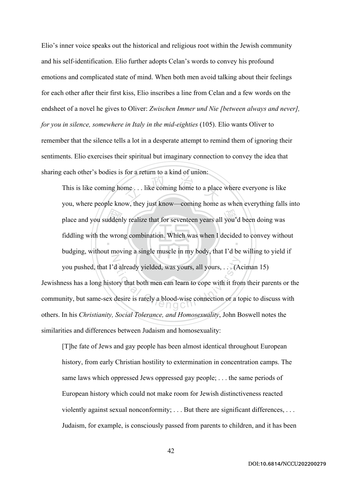Elio's inner voice speaks out the historical and religious root within the Jewish community and his self-identification. Elio further adopts Celan's words to convey his profound emotions and complicated state of mind. When both men avoid talking about their feelings for each other after their first kiss, Elio inscribes a line from Celan and a few words on the endsheet of a novel he gives to Oliver: *Zwischen Immer und Nie [between always and never], for you in silence, somewhere in Italy in the mid-eighties* (105). Elio wants Oliver to remember that the silence tells a lot in a desperate attempt to remind them of ignoring their sentiments. Elio exercises their spiritual but imaginary connection to convey the idea that sharing each other's bodies is for a return to a kind of union:

place and you suddenly realize that for seventeen years all you'd been doing was<br>fiddling with the wrong combination. Which was when I decided to convey with<br>budging without maying gained www.poly in my hody that I'd be wi me... like coming home to a place ‧ N d already yielded, was yours, all yours, ... (A<br>ory that both men can learn to cope with it from<br>desire is rarely a blood-wise connection or a to This is like coming home . . . like coming home to a place where everyone is like you, where people know, they just know—coming home as when everything falls into fiddling with the wrong combination. Which was when I decided to convey without budging, without moving a single muscle in my body, that I'd be willing to yield if you pushed, that I'd already yielded, was yours, all yours, . . . (Aciman 15) Jewishness has a long history that both men can learn to cope with it from their parents or the community, but same-sex desire is rarely a blood-wise connection or a topic to discuss with others. In his *Christianity, Social Tolerance, and Homosexuality*, John Boswell notes the

similarities and differences between Judaism and homosexuality:

[T]he fate of Jews and gay people has been almost identical throughout European history, from early Christian hostility to extermination in concentration camps. The same laws which oppressed Jews oppressed gay people; . . . the same periods of European history which could not make room for Jewish distinctiveness reacted violently against sexual nonconformity; . . . But there are significant differences, . . . Judaism, for example, is consciously passed from parents to children, and it has been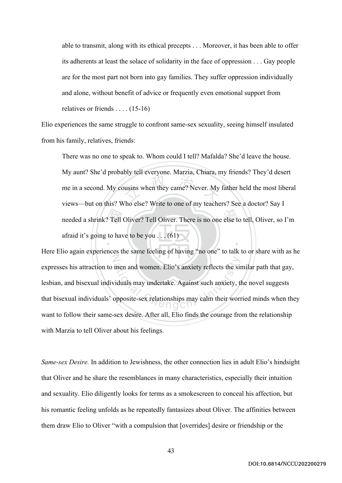able to transmit, along with its ethical precepts . . . Moreover, it has been able to offer its adherents at least the solace of solidarity in the face of oppression . . . Gay people are for the most part not born into gay families. They suffer oppression individually and alone, without benefit of advice or frequently even emotional support from relatives or friends . . . . (15-16)

Elio experiences the same struggle to confront same-sex sexuality, seeing himself insulated from his family, relatives, friends:

needed a shrink? Tell Oliver? Tell Oliver. There is no one else to tell, Oliver, so I'm<br>afraid it's going to have to be you . . . (61)  $\frac{1}{2}$  when they came? Never. My ‧ There was no one to speak to. Whom could I tell? Mafalda? She'd leave the house. My aunt? She'd probably tell everyone. Marzia, Chiara, my friends? They'd desert me in a second. My cousins when they came? Never. My father held the most liberal views—but on this? Who else? Write to one of my teachers? See a doctor? Say I afraid it's going to have to be you  $\dots$  (61)

N men and women. Elio's anxiety reflects the six<br>
viduals may undertake. Against such anxiety, the<br>
opposite-sex relationships may calm their work Here Elio again experiences the same feeling of having "no one" to talk to or share with as he expresses his attraction to men and women. Elio's anxiety reflects the similar path that gay, lesbian, and bisexual individuals may undertake. Against such anxiety, the novel suggests that bisexual individuals' opposite-sex relationships may calm their worried minds when they want to follow their same-sex desire. After all, Elio finds the courage from the relationship with Marzia to tell Oliver about his feelings.

*Same-sex Desire.* In addition to Jewishness, the other connection lies in adult Elio's hindsight that Oliver and he share the resemblances in many characteristics, especially their intuition and sexuality. Elio diligently looks for terms as a smokescreen to conceal his affection, but his romantic feeling unfolds as he repeatedly fantasizes about Oliver. The affinities between them draw Elio to Oliver "with a compulsion that [overrides] desire or friendship or the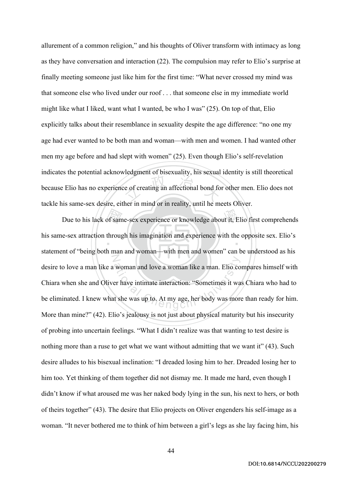$\frac{1}{2}$  of creating an affectional bond for allurement of a common religion," and his thoughts of Oliver transform with intimacy as long as they have conversation and interaction (22). The compulsion may refer to Elio's surprise at finally meeting someone just like him for the first time: "What never crossed my mind was that someone else who lived under our roof . . . that someone else in my immediate world might like what I liked, want what I wanted, be who I was" (25). On top of that, Elio explicitly talks about their resemblance in sexuality despite the age difference: "no one my age had ever wanted to be both man and woman—with men and women. I had wanted other men my age before and had slept with women" (25). Even though Elio's self-revelation indicates the potential acknowledgment of bisexuality, his sexual identity is still theoretical because Elio has no experience of creating an affectional bond for other men. Elio does not tackle his same-sex desire, either in mind or in reality, until he meets Oliver.

Due to his lack of same-sex experience or knowledge about it, Elio first comprehends<br>e-sex attraction through his imagination and experience with the opposite sex. Elio's<br>at of "being heth man and wamps, with man and wamps ‧ N woman and love a woman like a man. Elio co<br>er have intimate interaction: "Sometimes it was<br>at she was up to. At my age, her body was more his same-sex attraction through his imagination and experience with the opposite sex. Elio's statement of "being both man and woman—with men and women" can be understood as his desire to love a man like a woman and love a woman like a man. Elio compares himself with Chiara when she and Oliver have intimate interaction: "Sometimes it was Chiara who had to be eliminated. I knew what she was up to. At my age, her body was more than ready for him. More than mine?" (42). Elio's jealousy is not just about physical maturity but his insecurity of probing into uncertain feelings. "What I didn't realize was that wanting to test desire is nothing more than a ruse to get what we want without admitting that we want it" (43). Such desire alludes to his bisexual inclination: "I dreaded losing him to her. Dreaded losing her to him too. Yet thinking of them together did not dismay me. It made me hard, even though I didn't know if what aroused me was her naked body lying in the sun, his next to hers, or both of theirs together" (43). The desire that Elio projects on Oliver engenders his self-image as a woman. "It never bothered me to think of him between a girl's legs as she lay facing him, his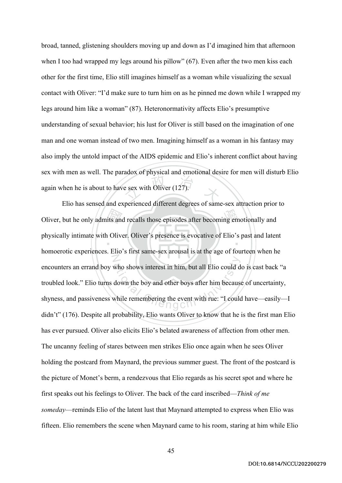$\frac{2}{\pi}$  e sex with Oliver (127). broad, tanned, glistening shoulders moving up and down as I'd imagined him that afternoon when I too had wrapped my legs around his pillow" (67). Even after the two men kiss each other for the first time, Elio still imagines himself as a woman while visualizing the sexual contact with Oliver: "I'd make sure to turn him on as he pinned me down while I wrapped my legs around him like a woman" (87). Heteronormativity affects Elio's presumptive understanding of sexual behavior; his lust for Oliver is still based on the imagination of one man and one woman instead of two men. Imagining himself as a woman in his fantasy may also imply the untold impact of the AIDS epidemic and Elio's inherent conflict about having sex with men as well. The paradox of physical and emotional desire for men will disturb Elio again when he is about to have sex with Oliver (127).

Oliver, but he only admits and recalls those episodes after becoming emotionally and<br>physically intimate with Oliver. Oliver's presence is evocative of Elio's past and later<br>homeopatic experiences. Flie's first some sex ex ‧ N who shows interest in him, but all Elio could d<br>down the boy and other boys after him because<br>while remembering the event with rue: "I could Elio has sensed and experienced different degrees of same-sex attraction prior to physically intimate with Oliver. Oliver's presence is evocative of Elio's past and latent homoerotic experiences. Elio's first same-sex arousal is at the age of fourteen when he encounters an errand boy who shows interest in him, but all Elio could do is cast back "a troubled look." Elio turns down the boy and other boys after him because of uncertainty, shyness, and passiveness while remembering the event with rue: "I could have—easily—I didn't" (176). Despite all probability, Elio wants Oliver to know that he is the first man Elio has ever pursued. Oliver also elicits Elio's belated awareness of affection from other men. The uncanny feeling of stares between men strikes Elio once again when he sees Oliver holding the postcard from Maynard, the previous summer guest. The front of the postcard is the picture of Monet's berm, a rendezvous that Elio regards as his secret spot and where he first speaks out his feelings to Oliver. The back of the card inscribed—*Think of me someday*—reminds Elio of the latent lust that Maynard attempted to express when Elio was fifteen. Elio remembers the scene when Maynard came to his room, staring at him while Elio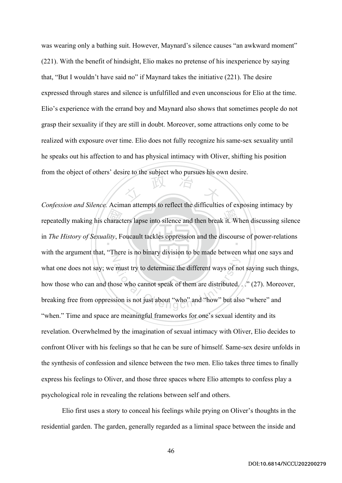文 政 治 木 was wearing only a bathing suit. However, Maynard's silence causes "an awkward moment" (221). With the benefit of hindsight, Elio makes no pretense of his inexperience by saying that, "But I wouldn't have said no" if Maynard takes the initiative (221). The desire expressed through stares and silence is unfulfilled and even unconscious for Elio at the time. Elio's experience with the errand boy and Maynard also shows that sometimes people do not grasp their sexuality if they are still in doubt. Moreover, some attractions only come to be realized with exposure over time. Elio does not fully recognize his same-sex sexuality until he speaks out his affection to and has physical intimacy with Oliver, shifting his position from the object of others' desire to the subject who pursues his own desire.

haract<br>*lity*, F repeatedly making his characters lapse into silence and then break it. When discussing silence in *The History of Sexuality*, Foucault tackles oppression and the discourse of power-relations N must try to determine the different ways of not<br>ose who cannot speak of them are distributed.<br>sion is not just about "who" and "how" but als *Confession and Silence.* Aciman attempts to reflect the difficulties of exposing intimacy by with the argument that, "There is no binary division to be made between what one says and what one does not say; we must try to determine the different ways of not saying such things, how those who can and those who cannot speak of them are distributed. ..." (27). Moreover, breaking free from oppression is not just about "who" and "how" but also "where" and "when." Time and space are meaningful frameworks for one's sexual identity and its revelation. Overwhelmed by the imagination of sexual intimacy with Oliver, Elio decides to confront Oliver with his feelings so that he can be sure of himself. Same-sex desire unfolds in the synthesis of confession and silence between the two men. Elio takes three times to finally express his feelings to Oliver, and those three spaces where Elio attempts to confess play a psychological role in revealing the relations between self and others.

Elio first uses a story to conceal his feelings while prying on Oliver's thoughts in the residential garden. The garden, generally regarded as a liminal space between the inside and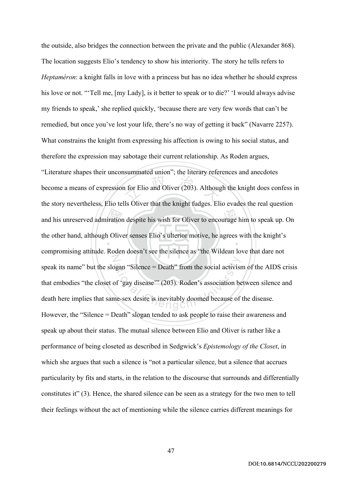and his unreserved admiration despite his wish for Oliver to encourage him to speak up. On<br>the other hand, although Oliver senses Elio's ulterior motive, he agrees with the knight's<br>communities attitude. Bedan descrit see  $\frac{1}{2}$  for Elio and Oliver (203). Although ‧ N began "Silence = Death" from the social activist<br>of 'gay disease'" (203). Roden's association be<br>ne-sex desire is inevitably doomed because of the outside, also bridges the connection between the private and the public (Alexander 868). The location suggests Elio's tendency to show his interiority. The story he tells refers to *Heptaméron*: a knight falls in love with a princess but has no idea whether he should express his love or not. "'Tell me, [my Lady], is it better to speak or to die?' 'I would always advise my friends to speak,' she replied quickly, 'because there are very few words that can't be remedied, but once you've lost your life, there's no way of getting it back" (Navarre 2257). What constrains the knight from expressing his affection is owing to his social status, and therefore the expression may sabotage their current relationship. As Roden argues, "Literature shapes their unconsummated union"; the literary references and anecdotes become a means of expression for Elio and Oliver (203). Although the knight does confess in the story nevertheless, Elio tells Oliver that the knight fudges. Elio evades the real question the other hand, although Oliver senses Elio's ulterior motive, he agrees with the knight's compromising attitude. Roden doesn't see the silence as "the Wildean love that dare not speak its name" but the slogan "Silence = Death" from the social activism of the AIDS crisis that embodies "the closet of 'gay disease'" (203). Roden's association between silence and death here implies that same-sex desire is inevitably doomed because of the disease. However, the "Silence = Death" slogan tended to ask people to raise their awareness and speak up about their status. The mutual silence between Elio and Oliver is rather like a performance of being closeted as described in Sedgwick's *Epistemology of the Closet*, in which she argues that such a silence is "not a particular silence, but a silence that accrues particularity by fits and starts, in the relation to the discourse that surrounds and differentially constitutes it" (3). Hence, the shared silence can be seen as a strategy for the two men to tell their feelings without the act of mentioning while the silence carries different meanings for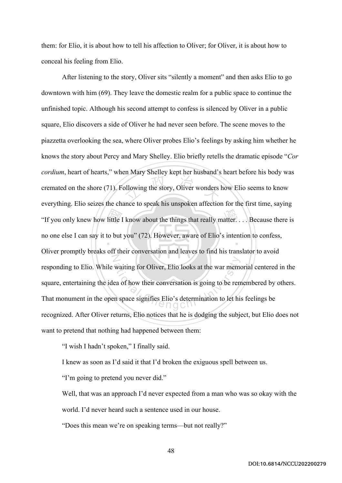them: for Elio, it is about how to tell his affection to Oliver; for Oliver, it is about how to conceal his feeling from Elio.

"If you only knew how little I know about the things that really matter.... Because there is<br>no one else I can say it to but you" (72). However, aware of Elio's intention to confess,<br>Oliver repeats broaks of their conversi blowing the story, Oliver wonders ‧ N waiting for Oliver, Elio looks at the war memore<br>ea of how their conversation is going to be rem<br>in space signifies Elio's determination to let his After listening to the story, Oliver sits "silently a moment" and then asks Elio to go downtown with him (69). They leave the domestic realm for a public space to continue the unfinished topic. Although his second attempt to confess is silenced by Oliver in a public square, Elio discovers a side of Oliver he had never seen before. The scene moves to the piazzetta overlooking the sea, where Oliver probes Elio's feelings by asking him whether he knows the story about Percy and Mary Shelley. Elio briefly retells the dramatic episode "*Cor cordium*, heart of hearts," when Mary Shelley kept her husband's heart before his body was cremated on the shore (71). Following the story, Oliver wonders how Elio seems to know everything. Elio seizes the chance to speak his unspoken affection for the first time, saying no one else I can say it to but you" (72). However, aware of Elio's intention to confess, Oliver promptly breaks off their conversation and leaves to find his translator to avoid responding to Elio. While waiting for Oliver, Elio looks at the war memorial centered in the square, entertaining the idea of how their conversation is going to be remembered by others. That monument in the open space signifies Elio's determination to let his feelings be recognized. After Oliver returns, Elio notices that he is dodging the subject, but Elio does not want to pretend that nothing had happened between them:

"I wish I hadn't spoken," I finally said.

I knew as soon as I'd said it that I'd broken the exiguous spell between us.

"I'm going to pretend you never did."

Well, that was an approach I'd never expected from a man who was so okay with the world. I'd never heard such a sentence used in our house.

"Does this mean we're on speaking terms—but not really?"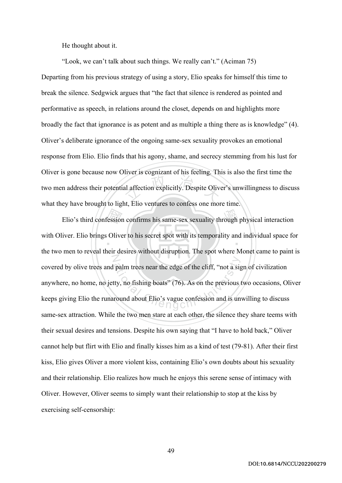He thought about it.

"Look, we can't talk about such things. We really can't." (Aciman 75)

al affection explicitly. Despite Olive Departing from his previous strategy of using a story, Elio speaks for himself this time to break the silence. Sedgwick argues that "the fact that silence is rendered as pointed and performative as speech, in relations around the closet, depends on and highlights more broadly the fact that ignorance is as potent and as multiple a thing there as is knowledge" (4). Oliver's deliberate ignorance of the ongoing same-sex sexuality provokes an emotional response from Elio. Elio finds that his agony, shame, and secrecy stemming from his lust for Oliver is gone because now Oliver is cognizant of his feeling. This is also the first time the two men address their potential affection explicitly. Despite Oliver's unwillingness to discuss what they have brought to light, Elio ventures to confess one more time.

Elio's third confession confirms his same-sex sexuality through physical interaction<br>iver. Elio brings Oliver to his secret spot with its temporality and individual space for<br>mon to reveal their decises without dignation.  $\ddot{\phantom{0}}$ N palm trees near the edge of the cliff, "not a signal"<br>ty, no fishing boats" (76). As on the previous round about Elio's vague confession and is un with Oliver. Elio brings Oliver to his secret spot with its temporality and individual space for the two men to reveal their desires without disruption. The spot where Monet came to paint is covered by olive trees and palm trees near the edge of the cliff, "not a sign of civilization anywhere, no home, no jetty, no fishing boats" (76). As on the previous two occasions, Oliver keeps giving Elio the runaround about Elio's vague confession and is unwilling to discuss same-sex attraction. While the two men stare at each other, the silence they share teems with their sexual desires and tensions. Despite his own saying that "I have to hold back," Oliver cannot help but flirt with Elio and finally kisses him as a kind of test (79-81). After their first kiss, Elio gives Oliver a more violent kiss, containing Elio's own doubts about his sexuality and their relationship. Elio realizes how much he enjoys this serene sense of intimacy with Oliver. However, Oliver seems to simply want their relationship to stop at the kiss by exercising self-censorship: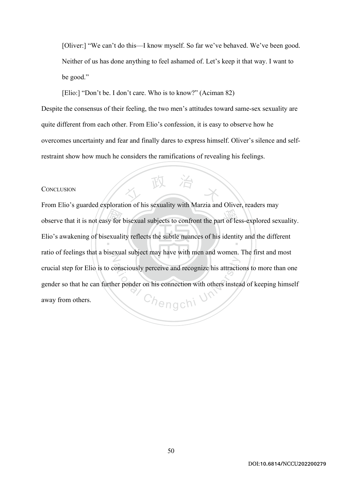[Oliver:] "We can't do this—I know myself. So far we've behaved. We've been good. Neither of us has done anything to feel ashamed of. Let's keep it that way. I want to be good."

[Elio:] "Don't be. I don't care. Who is to know?" (Aciman 82)

Despite the consensus of their feeling, the two men's attitudes toward same-sex sexuality are quite different from each other. From Elio's confession, it is easy to observe how he overcomes uncertainty and fear and finally dares to express himself. Oliver's silence and selfrestraint show how much he considers the ramifications of revealing his feelings.

( 政 治

### **CONCLUSION**

y for<br>exuali observe that it is not easy for bisexual subjects to confront the part of less-explored sexuality. Elio's awakening of bisexuality reflects the subtle nuances of his identity and the different N onsciously perceive and recognize his attraction<br>
er ponder on his connection with others instead<br>  $\bigcap_{i=1}^{\infty}$ From Elio's guarded exploration of his sexuality with Marzia and Oliver, readers may ratio of feelings that a bisexual subject may have with men and women. The first and most crucial step for Elio is to consciously perceive and recognize his attractions to more than one gender so that he can further ponder on his connection with others instead of keeping himself away from others.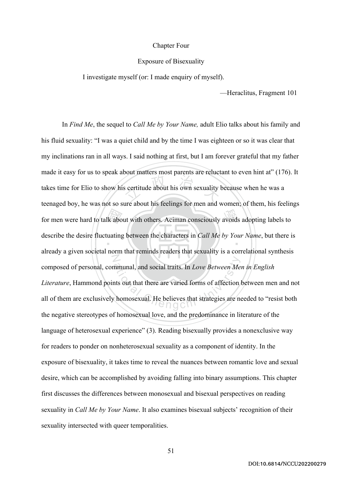## Chapter Four

#### Exposure of Bisexuality

I investigate myself (or: I made enquiry of myself).

—Heraclitus, Fragment 101

for men were hard to talk about with others. Aciman consciously avoids adopting labels to<br>describe the desire fluctuating between the characters in *Call Me by Your Name*, but there is  $\frac{1}{2}$  continued the parameter of  $\frac{1}{2}$  $\ddot{\phantom{0}}$ N mmunal, and social traits. In *Love Between Me*<br>hts out that there are varied forms of affection<br>thomosexual. He believes that strategies are no In *Find Me*, the sequel to *Call Me by Your Name,* adult Elio talks about his family and his fluid sexuality: "I was a quiet child and by the time I was eighteen or so it was clear that my inclinations ran in all ways. I said nothing at first, but I am forever grateful that my father made it easy for us to speak about matters most parents are reluctant to even hint at" (176). It takes time for Elio to show his certitude about his own sexuality because when he was a teenaged boy, he was not so sure about his feelings for men and women; of them, his feelings describe the desire fluctuating between the characters in *Call Me by Your Name*, but there is already a given societal norm that reminds readers that sexuality is a correlational synthesis composed of personal, communal, and social traits. In *Love Between Men in English Literature*, Hammond points out that there are varied forms of affection between men and not all of them are exclusively homosexual. He believes that strategies are needed to "resist both the negative stereotypes of homosexual love, and the predominance in literature of the language of heterosexual experience" (3). Reading bisexually provides a nonexclusive way for readers to ponder on nonheterosexual sexuality as a component of identity. In the exposure of bisexuality, it takes time to reveal the nuances between romantic love and sexual desire, which can be accomplished by avoiding falling into binary assumptions. This chapter first discusses the differences between monosexual and bisexual perspectives on reading sexuality in *Call Me by Your Name*. It also examines bisexual subjects' recognition of their sexuality intersected with queer temporalities.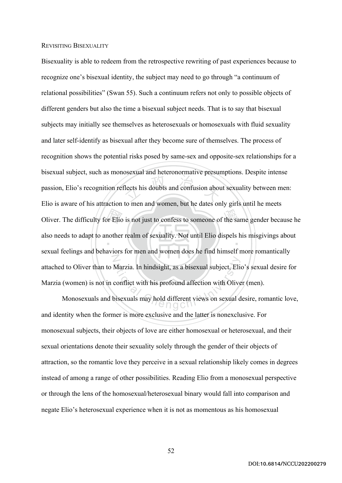## REVISITING BISEXUALITY

Oliver. The difficulty for Elio is not just to confess to someone of the same gender because he<br>also needs to adapt to another realm of sexuality. Not until Elio dispels his misgivings about<br>council follings and behaviors lects his doubts and confusion about  $\ddot{\ }$ N Marzia. In hindsight, as a bisexual subject, Elie<br>conflict with his profound affection with Olive<br>bisexuals may hold different views on sexual d Bisexuality is able to redeem from the retrospective rewriting of past experiences because to recognize one's bisexual identity, the subject may need to go through "a continuum of relational possibilities" (Swan 55). Such a continuum refers not only to possible objects of different genders but also the time a bisexual subject needs. That is to say that bisexual subjects may initially see themselves as heterosexuals or homosexuals with fluid sexuality and later self-identify as bisexual after they become sure of themselves. The process of recognition shows the potential risks posed by same-sex and opposite-sex relationships for a bisexual subject, such as monosexual and heteronormative presumptions. Despite intense passion, Elio's recognition reflects his doubts and confusion about sexuality between men: Elio is aware of his attraction to men and women, but he dates only girls until he meets also needs to adapt to another realm of sexuality. Not until Elio dispels his misgivings about sexual feelings and behaviors for men and women does he find himself more romantically attached to Oliver than to Marzia. In hindsight, as a bisexual subject, Elio's sexual desire for Marzia (women) is not in conflict with his profound affection with Oliver (men).

Monosexuals and bisexuals may hold different views on sexual desire, romantic love, and identity when the former is more exclusive and the latter is nonexclusive. For monosexual subjects, their objects of love are either homosexual or heterosexual, and their sexual orientations denote their sexuality solely through the gender of their objects of attraction, so the romantic love they perceive in a sexual relationship likely comes in degrees instead of among a range of other possibilities. Reading Elio from a monosexual perspective or through the lens of the homosexual/heterosexual binary would fall into comparison and negate Elio's heterosexual experience when it is not as momentous as his homosexual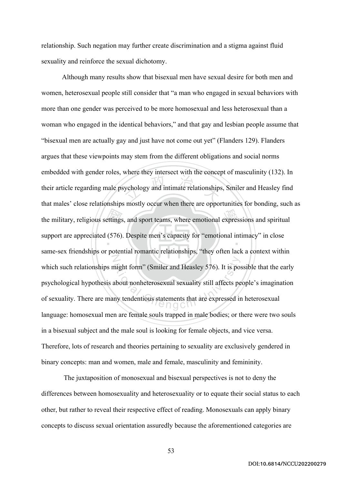relationship. Such negation may further create discrimination and a stigma against fluid sexuality and reinforce the sexual dichotomy.

the military, religious settings, and sport teams, where emotional expressions and spiritual<br>support are appreciated (576). Despite men's capacity for "emotional intimacy" in close<br>same sex friendships are notatial remarti where any interest with the center. ‧ N might form" (Smiler and Heasley 576). It is posed<br>about nonheterosexual sexuality still affects per<br>ny tendentious statements that are expressed in Although many results show that bisexual men have sexual desire for both men and women, heterosexual people still consider that "a man who engaged in sexual behaviors with more than one gender was perceived to be more homosexual and less heterosexual than a woman who engaged in the identical behaviors," and that gay and lesbian people assume that "bisexual men are actually gay and just have not come out yet" (Flanders 129). Flanders argues that these viewpoints may stem from the different obligations and social norms embedded with gender roles, where they intersect with the concept of masculinity (132). In their article regarding male psychology and intimate relationships, Smiler and Heasley find that males' close relationships mostly occur when there are opportunities for bonding, such as support are appreciated (576). Despite men's capacity for "emotional intimacy" in close same-sex friendships or potential romantic relationships, "they often lack a context within which such relationships might form" (Smiler and Heasley 576). It is possible that the early psychological hypothesis about nonheterosexual sexuality still affects people's imagination of sexuality. There are many tendentious statements that are expressed in heterosexual language: homosexual men are female souls trapped in male bodies; or there were two souls in a bisexual subject and the male soul is looking for female objects, and vice versa. Therefore, lots of research and theories pertaining to sexuality are exclusively gendered in binary concepts: man and women, male and female, masculinity and femininity.

The juxtaposition of monosexual and bisexual perspectives is not to deny the differences between homosexuality and heterosexuality or to equate their social status to each other, but rather to reveal their respective effect of reading. Monosexuals can apply binary concepts to discuss sexual orientation assuredly because the aforementioned categories are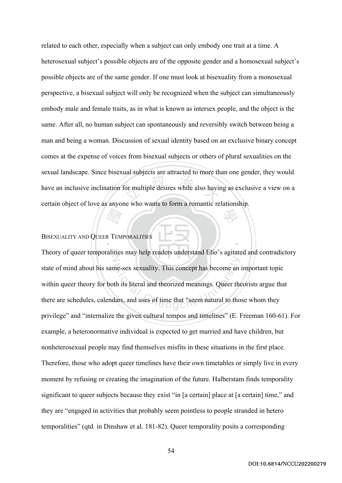For multiple desires while also having 學 related to each other, especially when a subject can only embody one trait at a time. A heterosexual subject's possible objects are of the opposite gender and a homosexual subject's possible objects are of the same gender. If one must look at bisexuality from a monosexual perspective, a bisexual subject will only be recognized when the subject can simultaneously embody male and female traits, as in what is known as intersex people, and the object is the same. After all, no human subject can spontaneously and reversibly switch between being a man and being a woman. Discussion of sexual identity based on an exclusive binary concept comes at the expense of voices from bisexual subjects or others of plural sexualities on the sexual landscape. Since bisexual subjects are attracted to more than one gender, they would have an inclusive inclination for multiple desires while also having as exclusive a view on a certain object of love as anyone who wants to form a romantic relationship.

# 國 BISEXUALITY AND QUEER TEMPORALITIES

N me-sex sexuality. This concept has become an<br>th its literal and theorized meanings. Queer the<br>dars, and uses of time that "seem natural to tho Theory of queer temporalities may help readers understand Elio's agitated and contradictory state of mind about his same-sex sexuality. This concept has become an important topic within queer theory for both its literal and theorized meanings. Queer theorists argue that there are schedules, calendars, and uses of time that "seem natural to those whom they privilege" and "internalize the given cultural tempos and timelines" (E. Freeman 160-61). For example, a heteronormative individual is expected to get married and have children, but nonheterosexual people may find themselves misfits in these situations in the first place. Therefore, those who adopt queer timelines have their own timetables or simply live in every moment by refusing or creating the imagination of the future. Halberstam finds temporality significant to queer subjects because they exist "in [a certain] place at [a certain] time," and they are "engaged in activities that probably seem pointless to people stranded in hetero temporalities" (qtd. in Dinshaw et al. 181-82). Queer temporality posits a corresponding

‧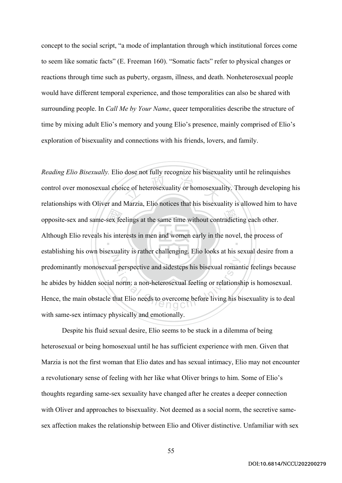concept to the social script, "a mode of implantation through which institutional forces come to seem like somatic facts" (E. Freeman 160). "Somatic facts" refer to physical changes or reactions through time such as puberty, orgasm, illness, and death. Nonheterosexual people would have different temporal experience, and those temporalities can also be shared with surrounding people. In *Call Me by Your Name*, queer temporalities describe the structure of time by mixing adult Elio's memory and young Elio's presence, mainly comprised of Elio's exploration of bisexuality and connections with his friends, lovers, and family.

opposite-sex and same-sex feelings at the same time without contradicting each other.<br>Although Elio reveals his interests in men and women early in the novel, the process of ce of heterosexuality or homosexuality ‧ N ation<br>
at perspective and sidesteps his bisexual roman<br>
norm: a non-heterosexual feeling or relations<br>
that Elio needs to overcome before living his b *Reading Elio Bisexually.* Elio dose not fully recognize his bisexuality until he relinquishes control over monosexual choice of heterosexuality or homosexuality. Through developing his relationships with Oliver and Marzia, Elio notices that his bisexuality is allowed him to have Although Elio reveals his interests in men and women early in the novel, the process of establishing his own bisexuality is rather challenging. Elio looks at his sexual desire from a predominantly monosexual perspective and sidesteps his bisexual romantic feelings because he abides by hidden social norm: a non-heterosexual feeling or relationship is homosexual. Hence, the main obstacle that Elio needs to overcome before living his bisexuality is to deal with same-sex intimacy physically and emotionally.

Despite his fluid sexual desire, Elio seems to be stuck in a dilemma of being heterosexual or being homosexual until he has sufficient experience with men. Given that Marzia is not the first woman that Elio dates and has sexual intimacy, Elio may not encounter a revolutionary sense of feeling with her like what Oliver brings to him. Some of Elio's thoughts regarding same-sex sexuality have changed after he creates a deeper connection with Oliver and approaches to bisexuality. Not deemed as a social norm, the secretive samesex affection makes the relationship between Elio and Oliver distinctive. Unfamiliar with sex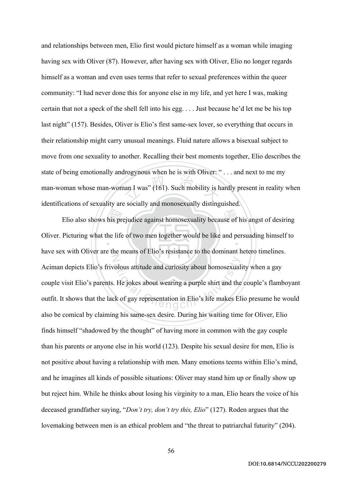$\frac{1}{2}$  an I was" (161). Such mobility is h and relationships between men, Elio first would picture himself as a woman while imaging having sex with Oliver (87). However, after having sex with Oliver, Elio no longer regards himself as a woman and even uses terms that refer to sexual preferences within the queer community: "I had never done this for anyone else in my life, and yet here I was, making certain that not a speck of the shell fell into his egg. . . . Just because he'd let me be his top last night" (157). Besides, Oliver is Elio's first same-sex lover, so everything that occurs in their relationship might carry unusual meanings. Fluid nature allows a bisexual subject to move from one sexuality to another. Recalling their best moments together, Elio describes the state of being emotionally androgynous when he is with Oliver: " . . . and next to me my man-woman whose man-woman I was" (161). Such mobility is hardly present in reality when identifications of sexuality are socially and monosexually distinguished.

Elio also shows his prejudice against homosexuality because of his angst of desiring<br>Picturing what the life of two men together would be like and persuading himself to<br>which Oliver are the magne of Elia's registered to th ‧ N bolous attitude and curiosity about homosexual<br>
. He jokes about wearing a purple shirt and the<br>
k of gay representation in Elio's life makes El Oliver. Picturing what the life of two men together would be like and persuading himself to have sex with Oliver are the means of Elio's resistance to the dominant hetero timelines. Aciman depicts Elio's frivolous attitude and curiosity about homosexuality when a gay couple visit Elio's parents. He jokes about wearing a purple shirt and the couple's flamboyant outfit. It shows that the lack of gay representation in Elio's life makes Elio presume he would also be comical by claiming his same-sex desire. During his waiting time for Oliver, Elio finds himself "shadowed by the thought" of having more in common with the gay couple than his parents or anyone else in his world (123). Despite his sexual desire for men, Elio is not positive about having a relationship with men. Many emotions teems within Elio's mind, and he imagines all kinds of possible situations: Oliver may stand him up or finally show up but reject him. While he thinks about losing his virginity to a man, Elio hears the voice of his deceased grandfather saying, "*Don't try, don't try this, Elio*" (127). Roden argues that the lovemaking between men is an ethical problem and "the threat to patriarchal futurity" (204).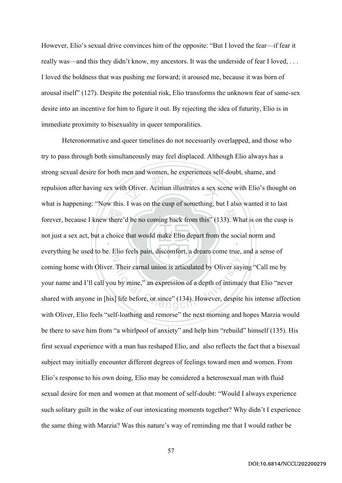However, Elio's sexual drive convinces him of the opposite: "But I loved the fear—if fear it really was—and this they didn't know, my ancestors. It was the underside of fear I loved, ... I loved the boldness that was pushing me forward; it aroused me, because it was born of arousal itself" (127). Despite the potential risk, Elio transforms the unknown fear of same-sex desire into an incentive for him to figure it out. By rejecting the idea of futurity, Elio is in immediate proximity to bisexuality in queer temporalities.

forever, because I knew there'd be no coming back from this" (133). What is on the cusp is<br>not just a sex act, but a choice that would make Elio depart from the social norm and<br>exerciting he used to be Elio for pain discom h Oliver. Aciman illustrates a sex so  $\ddot{\phantom{0}}$ N Their carnal union is articulated by Oliver say<br>u by mine," an expression of a depth of intimal<br>] life before, or since" (134). However, despite Heteronormative and queer timelines do not necessarily overlapped, and those who try to pass through both simultaneously may feel displaced. Although Elio always has a strong sexual desire for both men and women, he experiences self-doubt, shame, and repulsion after having sex with Oliver. Aciman illustrates a sex scene with Elio's thought on what is happening: "Now this. I was on the cusp of something, but I also wanted it to last not just a sex act, but a choice that would make Elio depart from the social norm and everything he used to be. Elio feels pain, discomfort, a dream come true, and a sense of coming home with Oliver. Their carnal union is articulated by Oliver saying "Call me by your name and I'll call you by mine," an expression of a depth of intimacy that Elio "never shared with anyone in [his] life before, or since" (134). However, despite his intense affection with Oliver, Elio feels "self-loathing and remorse" the next morning and hopes Marzia would be there to save him from "a whirlpool of anxiety" and help him "rebuild" himself (135). His first sexual experience with a man has reshaped Elio, and also reflects the fact that a bisexual subject may initially encounter different degrees of feelings toward men and women. From Elio's response to his own doing, Elio may be considered a heterosexual man with fluid sexual desire for men and women at that moment of self-doubt: "Would I always experience such solitary guilt in the wake of our intoxicating moments together? Why didn't I experience the same thing with Marzia? Was this nature's way of reminding me that I would rather be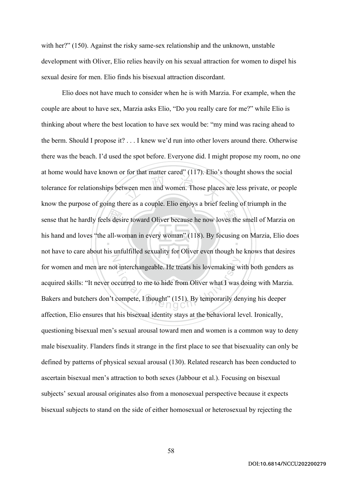with her?" (150). Against the risky same-sex relationship and the unknown, unstable development with Oliver, Elio relies heavily on his sexual attraction for women to dispel his sexual desire for men. Elio finds his bisexual attraction discordant.

sense that he hardly feels desire toward Oliver because he now loves the smell of Marzia on<br>his hand and loves "the all-woman in every woman" (118). By focusing on Marzia, Elio doe ween men and women. Those place ‧ N of interchangeable. He treats his lovemaking w<br>accurred to me to hide from Oliver what I was<br>compete, I thought" (151). By temporarily den Elio does not have much to consider when he is with Marzia. For example, when the couple are about to have sex, Marzia asks Elio, "Do you really care for me?" while Elio is thinking about where the best location to have sex would be: "my mind was racing ahead to the berm. Should I propose it? . . . I knew we'd run into other lovers around there. Otherwise there was the beach. I'd used the spot before. Everyone did. I might propose my room, no one at home would have known or for that matter cared" (117). Elio's thought shows the social tolerance for relationships between men and women. Those places are less private, or people know the purpose of going there as a couple. Elio enjoys a brief feeling of triumph in the his hand and loves "the all-woman in every woman" (118). By focusing on Marzia, Elio does not have to care about his unfulfilled sexuality for Oliver even though he knows that desires for women and men are not interchangeable. He treats his lovemaking with both genders as acquired skills: "It never occurred to me to hide from Oliver what I was doing with Marzia. Bakers and butchers don't compete, I thought" (151). By temporarily denying his deeper affection, Elio ensures that his bisexual identity stays at the behavioral level. Ironically, questioning bisexual men's sexual arousal toward men and women is a common way to deny male bisexuality. Flanders finds it strange in the first place to see that bisexuality can only be defined by patterns of physical sexual arousal (130). Related research has been conducted to ascertain bisexual men's attraction to both sexes (Jabbour et al.). Focusing on bisexual subjects' sexual arousal originates also from a monosexual perspective because it expects bisexual subjects to stand on the side of either homosexual or heterosexual by rejecting the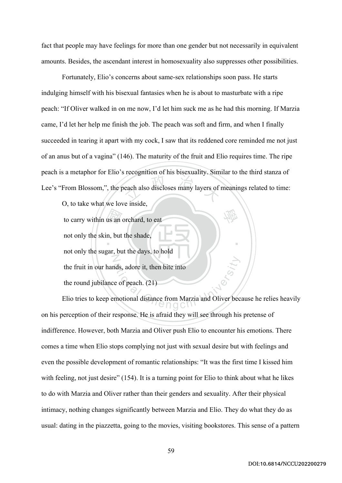fact that people may have feelings for more than one gender but not necessarily in equivalent amounts. Besides, the ascendant interest in homosexuality also suppresses other possibilities.

each also discloses many layers of Fortunately, Elio's concerns about same-sex relationships soon pass. He starts indulging himself with his bisexual fantasies when he is about to masturbate with a ripe peach: "If Oliver walked in on me now, I'd let him suck me as he had this morning. If Marzia came, I'd let her help me finish the job. The peach was soft and firm, and when I finally succeeded in tearing it apart with my cock, I saw that its reddened core reminded me not just of an anus but of a vagina" (146). The maturity of the fruit and Elio requires time. The ripe peach is a metaphor for Elio's recognition of his bisexuality. Similar to the third stanza of Lee's "From Blossom,", the peach also discloses many layers of meanings related to time:

學

‧

O, to take what we love inside,

 $\frac{1}{2}$  and  $\frac{1}{2}$  and  $\frac{1}{2}$  and  $\frac{1}{2}$  and  $\frac{1}{2}$  and  $\frac{1}{2}$  and  $\frac{1}{2}$  and  $\frac{1}{2}$  and  $\frac{1}{2}$  and  $\frac{1}{2}$  and  $\frac{1}{2}$  and  $\frac{1}{2}$  and  $\frac{1}{2}$  and  $\frac{1}{2}$  and  $\frac{1}{2}$  and  $\frac{1}{2}$  a N to carry within us an orchard, to eat not only the skin, but the shade, not only the sugar, but the days, to hold the fruit in our hands, adore it, then bite into the round jubilance of peach. (21)

ational Chengchi University<br>
and Chengchi University<br>
Chengchi University<br>
Chengchi University<br>
Chengchi University<br>
Chengchi University<br>
Chengchi University<br>
Chengchi University<br>
Chengchi University<br>
Chengchi University<br> Elio tries to keep emotional distance from Marzia and Oliver because he relies heavily on his perception of their response. He is afraid they will see through his pretense of indifference. However, both Marzia and Oliver push Elio to encounter his emotions. There comes a time when Elio stops complying not just with sexual desire but with feelings and even the possible development of romantic relationships: "It was the first time I kissed him with feeling, not just desire" (154). It is a turning point for Elio to think about what he likes to do with Marzia and Oliver rather than their genders and sexuality. After their physical intimacy, nothing changes significantly between Marzia and Elio. They do what they do as usual: dating in the piazzetta, going to the movies, visiting bookstores. This sense of a pattern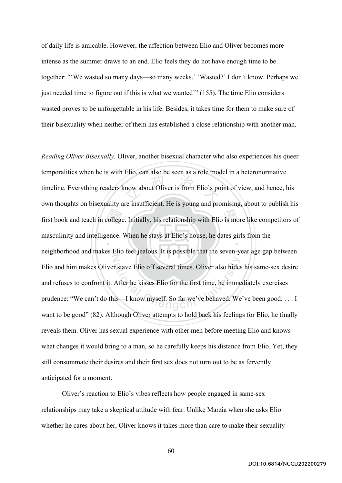of daily life is amicable. However, the affection between Elio and Oliver becomes more intense as the summer draws to an end. Elio feels they do not have enough time to be together: "'We wasted so many days—so many weeks.' 'Wasted?' I don't know. Perhaps we just needed time to figure out if this is what we wanted'" (155). The time Elio considers wasted proves to be unforgettable in his life. Besides, it takes time for them to make sure of their bisexuality when neither of them has established a close relationship with another man.

first book and teach in college. Initially, his relationship with Elio is more like competitors of<br>masculinity and intelligence. When he stays at Elio's house, he dates girls from the<br>majoblarhead and makes Elio feel isola  $2\pi$  and  $\pi$  and  $\pi$  and  $\pi$  and  $\pi$  and  $\pi$  is from Elio's po ‧ N r stave Elio off several times. Oliver also hides<br>After he kisses Elio for the first time, he imme<br>is—I know myself. So far we've behaved. We *Reading Oliver Bisexually.* Oliver, another bisexual character who also experiences his queer temporalities when he is with Elio, can also be seen as a role model in a heteronormative timeline. Everything readers know about Oliver is from Elio's point of view, and hence, his own thoughts on bisexuality are insufficient. He is young and promising, about to publish his masculinity and intelligence. When he stays at Elio's house, he dates girls from the neighborhood and makes Elio feel jealous. It is possible that the seven-year age gap between Elio and him makes Oliver stave Elio off several times. Oliver also hides his same-sex desire and refuses to confront it. After he kisses Elio for the first time, he immediately exercises prudence: "We can't do this—I know myself. So far we've behaved. We've been good. . . . I want to be good" (82). Although Oliver attempts to hold back his feelings for Elio, he finally reveals them. Oliver has sexual experience with other men before meeting Elio and knows what changes it would bring to a man, so he carefully keeps his distance from Elio. Yet, they still consummate their desires and their first sex does not turn out to be as fervently anticipated for a moment.

Oliver's reaction to Elio's vibes reflects how people engaged in same-sex relationships may take a skeptical attitude with fear. Unlike Marzia when she asks Elio whether he cares about her, Oliver knows it takes more than care to make their sexuality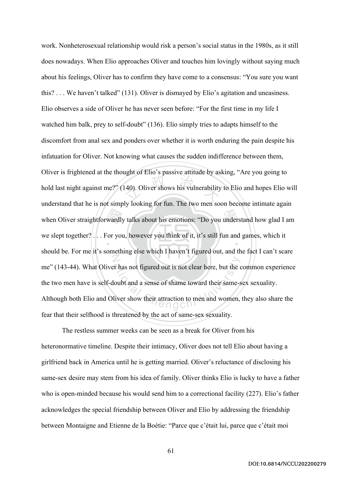wardly<br>or you  $\frac{1}{2}$  and  $\frac{1}{2}$  and  $\frac{1}{2}$  and  $\frac{1}{2}$  and  $\frac{1}{2}$  are shows his vulnerability when Oliver straightforwardly talks about his emotions: "Do you understand how glad I am ‧ N Thas not figured out is not clear here, but the coubt and a sense of shame toward their same-s<br>liver show their attraction to men and women, work. Nonheterosexual relationship would risk a person's social status in the 1980s, as it still does nowadays. When Elio approaches Oliver and touches him lovingly without saying much about his feelings, Oliver has to confirm they have come to a consensus: "You sure you want this? . . . We haven't talked" (131). Oliver is dismayed by Elio's agitation and uneasiness. Elio observes a side of Oliver he has never seen before: "For the first time in my life I watched him balk, prey to self-doubt" (136). Elio simply tries to adapts himself to the discomfort from anal sex and ponders over whether it is worth enduring the pain despite his infatuation for Oliver. Not knowing what causes the sudden indifference between them, Oliver is frightened at the thought of Elio's passive attitude by asking, "Are you going to hold last night against me?" (140). Oliver shows his vulnerability to Elio and hopes Elio will understand that he is not simply looking for fun. The two men soon become intimate again we slept together? . . . For you, however you think of it, it's still fun and games, which it should be. For me it's something else which I haven't figured out, and the fact I can't scare me" (143-44). What Oliver has not figured out is not clear here, but the common experience the two men have is self-doubt and a sense of shame toward their same-sex sexuality. Although both Elio and Oliver show their attraction to men and women, they also share the fear that their selfhood is threatened by the act of same-sex sexuality.

The restless summer weeks can be seen as a break for Oliver from his heteronormative timeline. Despite their intimacy, Oliver does not tell Elio about having a girlfriend back in America until he is getting married. Oliver's reluctance of disclosing his same-sex desire may stem from his idea of family. Oliver thinks Elio is lucky to have a father who is open-minded because his would send him to a correctional facility (227). Elio's father acknowledges the special friendship between Oliver and Elio by addressing the friendship between Montaigne and Etienne de la Boétie: "Parce que c'était lui, parce que c'était moi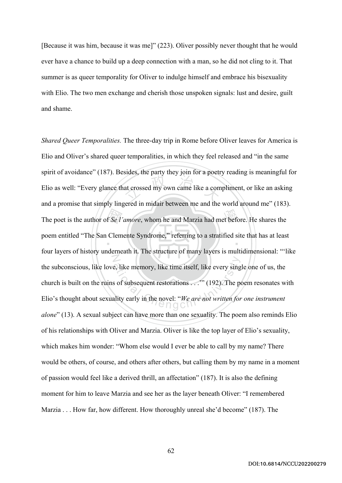[Because it was him, because it was me]" (223). Oliver possibly never thought that he would ever have a chance to build up a deep connection with a man, so he did not cling to it. That summer is as queer temporality for Oliver to indulge himself and embrace his bisexuality with Elio. The two men exchange and cherish those unspoken signals: lust and desire, guilt and shame.

The poet is the author of *Se l'amore*, whom he and Marzia had met before. He shares the poem entitled "The San Clemente Syndrome," referring to a stratified site that has at least at crossed my own came like a com  $\ddot{\phantom{0}}$ N Example 2. The memory, like time itself, like every sing<br>
s of subsequent restorations . . . " (192). The positive early in the novel: "We are not written for *Shared Queer Temporalities.* The three-day trip in Rome before Oliver leaves for America is Elio and Oliver's shared queer temporalities, in which they feel released and "in the same spirit of avoidance" (187). Besides, the party they join for a poetry reading is meaningful for Elio as well: "Every glance that crossed my own came like a compliment, or like an asking and a promise that simply lingered in midair between me and the world around me" (183). poem entitled "The San Clemente Syndrome," referring to a stratified site that has at least four layers of history underneath it. The structure of many layers is multidimensional: "'like the subconscious, like love, like memory, like time itself, like every single one of us, the church is built on the ruins of subsequent restorations . . .'" (192). The poem resonates with Elio's thought about sexuality early in the novel: "*We are not written for one instrument alone*" (13). A sexual subject can have more than one sexuality. The poem also reminds Elio of his relationships with Oliver and Marzia. Oliver is like the top layer of Elio's sexuality, which makes him wonder: "Whom else would I ever be able to call by my name? There would be others, of course, and others after others, but calling them by my name in a moment of passion would feel like a derived thrill, an affectation" (187). It is also the defining moment for him to leave Marzia and see her as the layer beneath Oliver: "I remembered Marzia . . . How far, how different. How thoroughly unreal she'd become" (187). The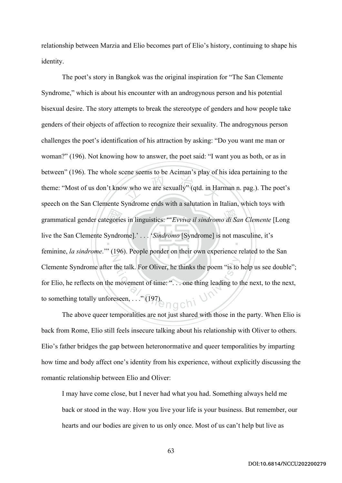relationship between Marzia and Elio becomes part of Elio's history, continuing to shape his identity.

egorie<br>|<br>|<br>| w who we are sexually" (qtd. in Har 學 grammatical gender categories in linguistics: "'*Evviva il sindromo di San Clemente* [Long ‧ N the talk. For Oliver, he thinks the poem "is to 1<br>movement of time: "... one thing leading to t<br>eseen, ..." (197) The poet's story in Bangkok was the original inspiration for "The San Clemente Syndrome," which is about his encounter with an androgynous person and his potential bisexual desire. The story attempts to break the stereotype of genders and how people take genders of their objects of affection to recognize their sexuality. The androgynous person challenges the poet's identification of his attraction by asking: "Do you want me man or woman?" (196). Not knowing how to answer, the poet said: "I want you as both, or as in between" (196). The whole scene seems to be Aciman's play of his idea pertaining to the theme: "Most of us don't know who we are sexually" (qtd. in Harman n. pag.). The poet's speech on the San Clemente Syndrome ends with a salutation in Italian, which toys with live the San Clemente Syndrome].' . . . '*Sindromo* [Syndrome] is not masculine, it's feminine, *la sindrome*.'" (196). People ponder on their own experience related to the San Clemente Syndrome after the talk. For Oliver, he thinks the poem "is to help us see double"; for Elio, he reflects on the movement of time: ". . . one thing leading to the next, to the next, to something totally unforeseen, . . ." (197).

The above queer temporalities are not just shared with those in the party. When Elio is back from Rome, Elio still feels insecure talking about his relationship with Oliver to others. Elio's father bridges the gap between heteronormative and queer temporalities by imparting how time and body affect one's identity from his experience, without explicitly discussing the romantic relationship between Elio and Oliver:

I may have come close, but I never had what you had. Something always held me back or stood in the way. How you live your life is your business. But remember, our hearts and our bodies are given to us only once. Most of us can't help but live as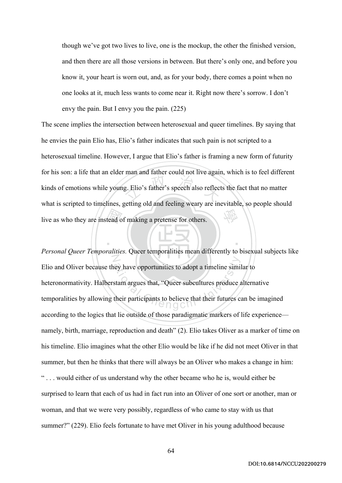though we've got two lives to live, one is the mockup, the other the finished version, and then there are all those versions in between. But there's only one, and before you know it, your heart is worn out, and, as for your body, there comes a point when no one looks at it, much less wants to come near it. Right now there's sorrow. I don't envy the pain. But I envy you the pain. (225)

tead o g. Elio's father's speech also reflect 學 The scene implies the intersection between heterosexual and queer timelines. By saying that he envies the pain Elio has, Elio's father indicates that such pain is not scripted to a heterosexual timeline. However, I argue that Elio's father is framing a new form of futurity for his son: a life that an elder man and father could not live again, which is to feel different kinds of emotions while young. Elio's father's speech also reflects the fact that no matter what is scripted to timelines, getting old and feeling weary are inevitable, so people should live as who they are instead of making a pretense for others.

‧

N Exercise of a timeline similar text of a timeline similar stam argues that, "Queer subcultures produce a<br>their participants to believe that their futures contributions of a good state of a good state. *Personal Queer Temporalities.* Queer temporalities mean differently to bisexual subjects like Elio and Oliver because they have opportunities to adopt a timeline similar to heteronormativity. Halberstam argues that, "Queer subcultures produce alternative temporalities by allowing their participants to believe that their futures can be imagined according to the logics that lie outside of those paradigmatic markers of life experience namely, birth, marriage, reproduction and death" (2). Elio takes Oliver as a marker of time on his timeline. Elio imagines what the other Elio would be like if he did not meet Oliver in that summer, but then he thinks that there will always be an Oliver who makes a change in him: " . . . would either of us understand why the other became who he is, would either be surprised to learn that each of us had in fact run into an Oliver of one sort or another, man or woman, and that we were very possibly, regardless of who came to stay with us that summer?" (229). Elio feels fortunate to have met Oliver in his young adulthood because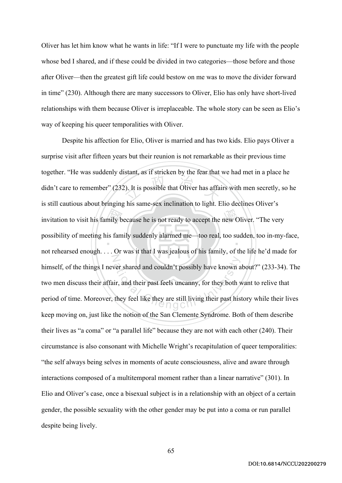Oliver has let him know what he wants in life: "If I were to punctuate my life with the people whose bed I shared, and if these could be divided in two categories—those before and those after Oliver—then the greatest gift life could bestow on me was to move the divider forward in time" (230). Although there are many successors to Oliver, Elio has only have short-lived relationships with them because Oliver is irreplaceable. The whole story can be seen as Elio's way of keeping his queer temporalities with Oliver.

invitation to visit his family because he is not ready to accept the new Oliver. "The very<br>possibility of meeting his family suddenly alarmed me—too real, too sudden, too in-my-<br>not reheaved enough . Or we it that I we ier 2). It is possible that Oliver has affaired the  $\frac{1}{2}$ ‧ N ver shared and couldn't possibly have known a<br>ir, and their past feels uncanny, for they both v<br>they feel like they are still living their past his Despite his affection for Elio, Oliver is married and has two kids. Elio pays Oliver a surprise visit after fifteen years but their reunion is not remarkable as their previous time together. "He was suddenly distant, as if stricken by the fear that we had met in a place he didn't care to remember" (232). It is possible that Oliver has affairs with men secretly, so he is still cautious about bringing his same-sex inclination to light. Elio declines Oliver's possibility of meeting his family suddenly alarmed me—too real, too sudden, too in-my-face, not rehearsed enough. . . . Or was it that I was jealous of his family, of the life he'd made for himself, of the things I never shared and couldn't possibly have known about?" (233-34). The two men discuss their affair, and their past feels uncanny, for they both want to relive that period of time. Moreover, they feel like they are still living their past history while their lives keep moving on, just like the notion of the San Clemente Syndrome. Both of them describe their lives as "a coma" or "a parallel life" because they are not with each other (240). Their circumstance is also consonant with Michelle Wright's recapitulation of queer temporalities: "the self always being selves in moments of acute consciousness, alive and aware through interactions composed of a multitemporal moment rather than a linear narrative" (301). In Elio and Oliver's case, once a bisexual subject is in a relationship with an object of a certain gender, the possible sexuality with the other gender may be put into a coma or run parallel despite being lively.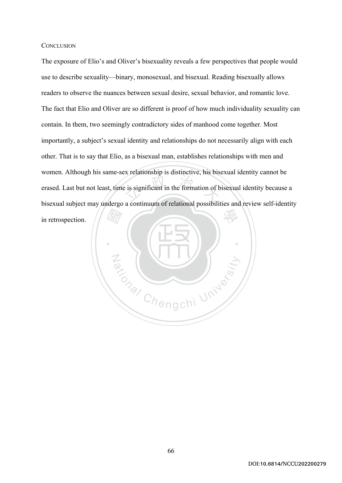## **CONCLUSION**

 $\frac{1}{2}$  is significant in the formation of b 學 The exposure of Elio's and Oliver's bisexuality reveals a few perspectives that people would use to describe sexuality—binary, monosexual, and bisexual. Reading bisexually allows readers to observe the nuances between sexual desire, sexual behavior, and romantic love. The fact that Elio and Oliver are so different is proof of how much individuality sexuality can contain. In them, two seemingly contradictory sides of manhood come together. Most importantly, a subject's sexual identity and relationships do not necessarily align with each other. That is to say that Elio, as a bisexual man, establishes relationships with men and women. Although his same-sex relationship is distinctive, his bisexual identity cannot be erased. Last but not least, time is significant in the formation of bisexual identity because a bisexual subject may undergo a continuum of relational possibilities and review self-identity in retrospection.

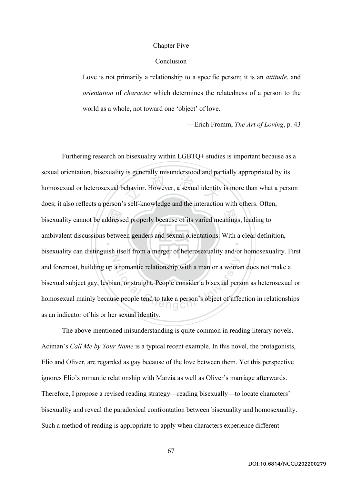## Chapter Five

## Conclusion

Love is not primarily a relationship to a specific person; it is an *attitude*, and *orientation* of *character* which determines the relatedness of a person to the world as a whole, not toward one 'object' of love.

—Erich Fromm, *The Art of Loving*, p. 43

bisexuality cannot be addressed properly because of its varied meanings, leading to ambivalent discussions between genders and sexual orientations. With a clear definition ehavior. However, a sexual identity ‧ N a romantic relationship with a man or a woma<br>an, or straight. People consider a bisexual pers<br>se people tend to take a person's object of affe Furthering research on bisexuality within LGBTQ+ studies is important because as a sexual orientation, bisexuality is generally misunderstood and partially appropriated by its homosexual or heterosexual behavior. However, a sexual identity is more than what a person does; it also reflects a person's self-knowledge and the interaction with others. Often, ambivalent discussions between genders and sexual orientations. With a clear definition, bisexuality can distinguish itself from a merger of heterosexuality and/or homosexuality. First and foremost, building up a romantic relationship with a man or a woman does not make a bisexual subject gay, lesbian, or straight. People consider a bisexual person as heterosexual or homosexual mainly because people tend to take a person's object of affection in relationships as an indicator of his or her sexual identity.

The above-mentioned misunderstanding is quite common in reading literary novels. Aciman's *Call Me by Your Name* is a typical recent example. In this novel, the protagonists, Elio and Oliver, are regarded as gay because of the love between them. Yet this perspective ignores Elio's romantic relationship with Marzia as well as Oliver's marriage afterwards. Therefore, I propose a revised reading strategy—reading bisexually—to locate characters' bisexuality and reveal the paradoxical confrontation between bisexuality and homosexuality. Such a method of reading is appropriate to apply when characters experience different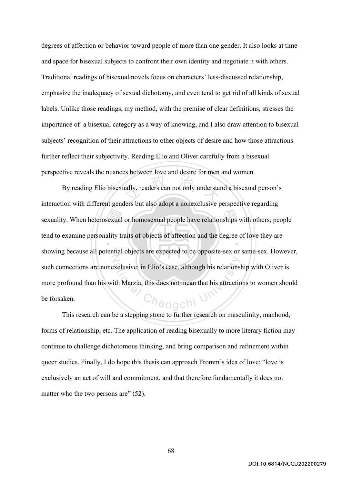degrees of affection or behavior toward people of more than one gender. It also looks at time and space for bisexual subjects to confront their own identity and negotiate it with others. Traditional readings of bisexual novels focus on characters' less-discussed relationship, emphasize the inadequacy of sexual dichotomy, and even tend to get rid of all kinds of sexual labels. Unlike those readings, my method, with the premise of clear definitions, stresses the importance of a bisexual category as a way of knowing, and I also draw attention to bisexual subjects' recognition of their attractions to other objects of desire and how those attractions further reflect their subjectivity. Reading Elio and Oliver carefully from a bisexual perspective reveals the nuances between love and desire for men and women.

sexuality. When heterosexual or homosexual people have relationships with others, people<br>tend to examine personality traits of objects of affection and the degree of love they are<br>charging because all notatial chiefs are a ally, readers can not only understand ‧ N xelusive: in Elio's case, although his relations<br>
ith Marzia, this does not mean that his attractic<br>  $\bigcap_{n=0}^{\infty}$ By reading Elio bisexually, readers can not only understand a bisexual person's interaction with different genders but also adopt a nonexclusive perspective regarding tend to examine personality traits of objects of affection and the degree of love they are showing because all potential objects are expected to be opposite-sex or same-sex. However, such connections are nonexclusive: in Elio's case, although his relationship with Oliver is more profound than his with Marzia, this does not mean that his attractions to women should be forsaken.

This research can be a stepping stone to further research on masculinity, manhood, forms of relationship, etc. The application of reading bisexually to more literary fiction may continue to challenge dichotomous thinking, and bring comparison and refinement within queer studies. Finally, I do hope this thesis can approach Fromm's idea of love: "love is exclusively an act of will and commitment, and that therefore fundamentally it does not matter who the two persons are" (52).

68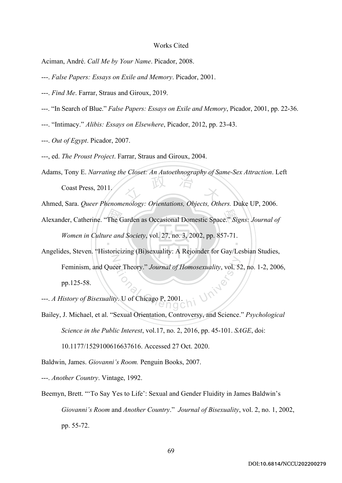## Works Cited

Aciman, André. *Call Me by Your Name*. Picador, 2008.

- ---. *False Papers: Essays on Exile and Memory*. Picador, 2001.
- ---. *Find Me*. Farrar, Straus and Giroux, 2019.
- ---. "In Search of Blue." *False Papers: Essays on Exile and Memory*, Picador, 2001, pp. 22-36.
- ---. "Intimacy." *Alibis: Essays on Elsewhere*, Picador, 2012, pp. 23-43.
- ---. *Out of Egypt*. Picador, 2007.
- ---, ed. *The Proust Project*. Farrar, Straus and Giroux, 2004.
- 文 政 治 Adams, Tony E. *Narrating the Closet: An Autoethnography of Same-Sex Attraction*. Left Coast Press, 2011.
- Ahmed, Sara. *Queer Phenomenology: Orientations, Objects, Others.* Duke UP, 2006.
- Alexander, Catherine. "The Garden as Occasional Domestic Space." *Signs: Journal of*<br>
Women in Culture and Society, vol. 27, no. 3, 2002, pp. 857-71. ‧ *Women in Culture and Society*, vol. 27, no. 3, 2002, pp. 857-71.
- N eer Theory." Journal of Homosexuality, vol. 52 Angelides, Steven. "Historicizing (Bi)sexuality: A Rejoinder for Gay/Lesbian Studies, Feminism, and Queer Theory." *Journal of Homosexuality*, vol. 52, no. 1-2, 2006, pp.125-58.
- ---. *A History of Bisexuality*. U of Chicago P, 2001.
- Bailey, J. Michael, et al. "Sexual Orientation, Controversy, and Science." *Psychological Science in the Public Interest*, vol.17, no. 2, 2016, pp. 45-101. *SAGE*, doi:

10.1177/1529100616637616. Accessed 27 Oct. 2020.

Baldwin, James. *Giovanni's Room.* Penguin Books, 2007.

---. *Another Country*. Vintage, 1992.

Beemyn, Brett. "'To Say Yes to Life': Sexual and Gender Fluidity in James Baldwin's *Giovanni's Room* and *Another Country*." *Journal of Bisexuality*, vol. 2, no. 1, 2002, pp. 55-72.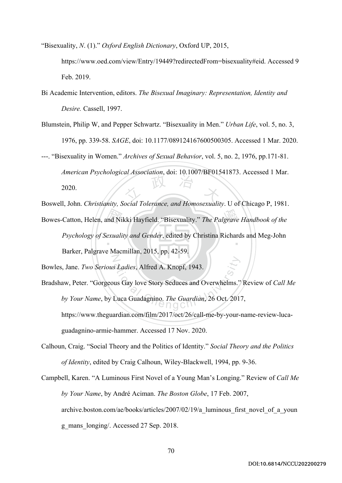"Bisexuality, *N*. (1)." *Oxford English Dictionary*, Oxford UP, 2015,

https://www.oed.com/view/Entry/19449?redirectedFrom=bisexuality#eid. Accessed 9 Feb. 2019.

- Bi Academic Intervention, editors. *The Bisexual Imaginary: Representation, Identity and Desire.* Cassell, 1997.
- Blumstein, Philip W, and Pepper Schwartz. "Bisexuality in Men." *Urban Life*, vol. 5, no. 3, 1976, pp. 339-58. *SAGE*, doi: 10.1177/089124167600500305. Accessed 1 Mar. 2020.

文 政 治 大 ---. "Bisexuality in Women." *Archives of Sexual Behavior*, vol. 5, no. 2, 1976, pp.171-81. *American Psychological Association*, doi: 10.1007/BF01541873. Accessed 1 Mar. 2020.

Boswell, John. *Christianity, Social Tolerance, and Homosexuality*. U of Chicago P, 1981.

Bowes-Catton, Helen, and Nikki Hayfield. "Bisexuality." *The Palgrave Handbook of the*<br>Psychology of Sexuality and Gender, edited by Christina Richards and Meg-John ‧ N *Psychology of Sexuality and Gender*, edited by Christina Richards and Meg-John Barker, Palgrave Macmillan, 2015, pp. 42-59.

Bowles, Jane. *Two Serious Ladies*, Alfred A. Knopf, 1943.

- S Ladies, Alfred A. Knopf, 1943.<br>
us Gay love Story Seduces and Overwhelms."<br>
Luca Guadagnino. The Guardian, 26 Oct. 2017 Bradshaw, Peter. "Gorgeous Gay love Story Seduces and Overwhelms." Review of *Call Me by Your Name*, by Luca Guadagnino. *The Guardian*, 26 Oct. 2017, https://www.theguardian.com/film/2017/oct/26/call-me-by-your-name-review-lucaguadagnino-armie-hammer. Accessed 17 Nov. 2020.
- Calhoun, Craig. "Social Theory and the Politics of Identity." *Social Theory and the Politics of Identity*, edited by Craig Calhoun, Wiley-Blackwell, 1994, pp. 9-36.
- Campbell, Karen. "A Luminous First Novel of a Young Man's Longing." Review of *Call Me by Your Name*, by André Aciman. *The Boston Globe*, 17 Feb. 2007, archive.boston.com/ae/books/articles/2007/02/19/a luminous first novel of a youn g\_mans\_longing/. Accessed 27 Sep. 2018.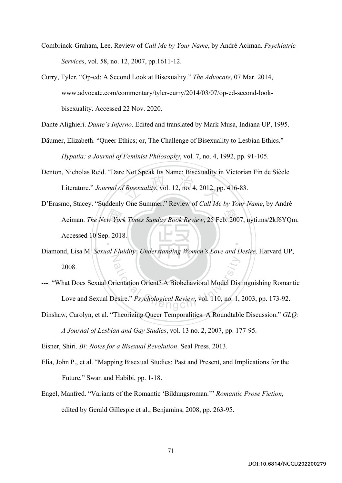- Combrinck-Graham, Lee. Review of *Call Me by Your Name*, by André Aciman. *Psychiatric Services*, vol. 58, no. 12, 2007, pp.1611-12.
- Curry, Tyler. "Op-ed: A Second Look at Bisexuality." *The Advocate*, 07 Mar. 2014, www.advocate.com/commentary/tyler-curry/2014/03/07/op-ed-second-lookbisexuality. Accessed 22 Nov. 2020.

Dante Alighieri. *Dante's Inferno*. Edited and translated by Mark Musa, Indiana UP, 1995.

- Däumer, Elizabeth. "Queer Ethics; or, The Challenge of Bisexuality to Lesbian Ethics." *Hypatia: a Journal of Feminist Philosophy*, vol. 7, no. 4, 1992, pp. 91-105.
- $\mu$  Bisexuality, vol. 12, no. 4, 2012, p Denton, Nicholas Reid. "Dare Not Speak Its Name: Bisexuality in Victorian Fin de Siècle Literature." *Journal of Bisexuality*, vol. 12, no. 4, 2012, pp. 416-83.
- Aciman. *The New York Times Sunday Book Review*, 25 Feb. 2007, nyti.ms/2kf6YQm.<br>Accessed 10 Sep. 2018. ‧ D'Erasmo, Stacey. "Suddenly One Summer." Review of *Call Me by Your Name*, by André Accessed 10 Sep. 2018.
- N Diamond, Lisa M. *Sexual Fluidity: Understanding Women's Love and Desire*. Harvard UP, 2008.
- Frientation Orient? A Biobehavioral Model Dist<br>esire." Psychological Review, vol. 110, no. 1, ---. "What Does Sexual Orientation Orient? A Biobehavioral Model Distinguishing Romantic Love and Sexual Desire." *Psychological Review*, vol. 110, no. 1, 2003, pp. 173-92.
- Dinshaw, Carolyn, et al. "Theorizing Queer Temporalities: A Roundtable Discussion." *GLQ: A Journal of Lesbian and Gay Studies*, vol. 13 no. 2, 2007, pp. 177-95.

Eisner, Shiri. *Bi: Notes for a Bisexual Revolution*. Seal Press, 2013.

- Elia, John P., et al. "Mapping Bisexual Studies: Past and Present, and Implications for the Future." Swan and Habibi, pp. 1-18.
- Engel, Manfred. "Variants of the Romantic 'Bildungsroman.'" *Romantic Prose Fiction*, edited by Gerald Gillespie et al., Benjamins, 2008, pp. 263-95.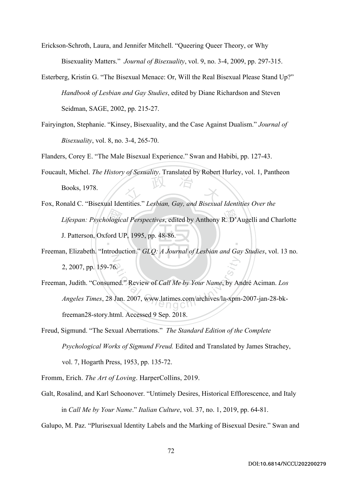Erickson-Schroth, Laura, and Jennifer Mitchell. "Queering Queer Theory, or Why Bisexuality Matters." *Journal of Bisexuality*, vol. 9, no. 3-4, 2009, pp. 297-315.

Esterberg, Kristin G. "The Bisexual Menace: Or, Will the Real Bisexual Please Stand Up?" *Handbook of Lesbian and Gay Studies*, edited by Diane Richardson and Steven Seidman, SAGE, 2002, pp. 215-27.

Fairyington, Stephanie. "Kinsey, Bisexuality, and the Case Against Dualism." *Journal of Bisexuality*, vol. 8, no. 3-4, 265-70.

Flanders, Corey E. "The Male Bisexual Experience." Swan and Habibi, pp. 127-43.

- 文 政 治 木 Foucault, Michel. *The History of Sexuality*. Translated by Robert Hurley, vol. 1, Pantheon Books, 1978.
- *Lifespan: Psychological Perspectives*, edited by Anthony R. D'Augelli and Charlotte<br>J. Patterson, Oxford UP, 1995, pp. 48-86. ‧ Fox, Ronald C. "Bisexual Identities." *Lesbian, Gay, and Bisexual Identities Over the*  J. Patterson, Oxford UP, 1995, pp. 48-86.
- N Freeman, Elizabeth. "Introduction." *GLQ: A Journal of Lesbian and Gay Studies*, vol. 13 no. 2, 2007, pp. 159-76.
- 6.<br>
ational Chengchi University Article State University Article State University Article State University Article<br>
Chengcom/archives/la-xpm Freeman, Judith. "Consumed." Review of *Call Me by Your Name*, by André Aciman. *Los Angeles Times*, 28 Jan. 2007, www.latimes.com/archives/la-xpm-2007-jan-28-bkfreeman28-story.html. Accessed 9 Sep. 2018.
- Freud, Sigmund. "The Sexual Aberrations." *The Standard Edition of the Complete Psychological Works of Sigmund Freud.* Edited and Translated by James Strachey, vol. 7, Hogarth Press, 1953, pp. 135-72.

Fromm, Erich. *The Art of Loving*. HarperCollins, 2019.

Galt, Rosalind, and Karl Schoonover. "Untimely Desires, Historical Efflorescence, and Italy in *Call Me by Your Name*." *Italian Culture*, vol. 37, no. 1, 2019, pp. 64-81.

Galupo, M. Paz. "Plurisexual Identity Labels and the Marking of Bisexual Desire." Swan and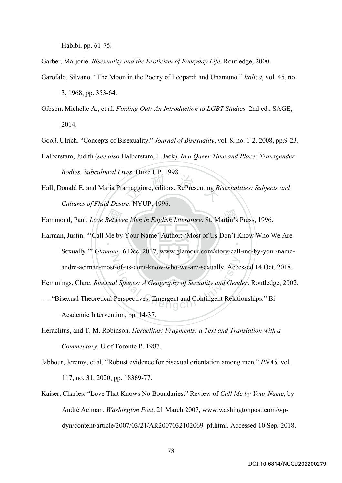Habibi, pp. 61-75.

Garber, Marjorie. *Bisexuality and the Eroticism of Everyday Life.* Routledge, 2000.

- Garofalo, Silvano. "The Moon in the Poetry of Leopardi and Unamuno." *Italica*, vol. 45, no. 3, 1968, pp. 353-64.
- Gibson, Michelle A., et al. *Finding Out: An Introduction to LGBT Studies*. 2nd ed., SAGE, 2014.

Gooß, Ulrich. "Concepts of Bisexuality." *Journal of Bisexuality*, vol. 8, no. 1-2, 2008, pp.9-23.

- Halberstam, Judith (*see also* Halberstam, J. Jack). *In a Queer Time and Place: Transgender Bodies, Subcultural Lives*. Duke UP, 1998.
- amaggiore, editors. RePresenting Bi Hall, Donald E, and Maria Pramaggiore, editors. RePresenting *Bisexualities: Subjects and Cultures of Fluid Desire*. NYUP, 1996.

Hammond, Paul. *Love Between Men in English Literature*. St. Martin's Press, 1996.<br>Harman, Justin. "'Call Me by Your Name' Author: 'Most of Us Don't Know Who V ‧ N Example 1-of-us-dont-know-who-we-are-sexually. Acce<br>al Spaces: A Geography of Sexuality and Gend<br>Perspectives: Emergent and Contingent Relation Harman, Justin. "'Call Me by Your Name' Author: 'Most of Us Don't Know Who We Are Sexually.'" *Glamour,* 6 Dec. 2017, www.glamour.com/story/call-me-by-your-nameandre-aciman-most-of-us-dont-know-who-we-are-sexually. Accessed 14 Oct. 2018. Hemmings, Clare. *Bisexual Spaces: A Geography of Sexuality and Gender*. Routledge, 2002. ---. "Bisexual Theoretical Perspectives: Emergent and Contingent Relationships." Bi

Academic Intervention, pp. 14-37.

- Heraclitus, and T. M. Robinson. *Heraclitus: Fragments: a Text and Translation with a Commentary*. U of Toronto P, 1987.
- Jabbour, Jeremy, et al. "Robust evidence for bisexual orientation among men." *PNAS*, vol. 117, no. 31, 2020, pp. 18369-77.
- Kaiser, Charles. "Love That Knows No Boundaries." Review of *Call Me by Your Name*, by André Aciman. *Washington Post*, 21 March 2007, www.washingtonpost.com/wpdyn/content/article/2007/03/21/AR2007032102069\_pf.html. Accessed 10 Sep. 2018.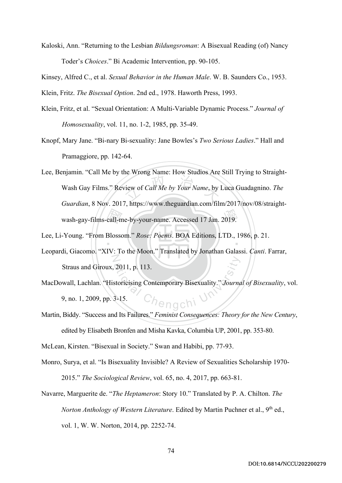Kaloski, Ann. "Returning to the Lesbian *Bildungsroman*: A Bisexual Reading (of) Nancy Toder's *Choices*." Bi Academic Intervention, pp. 90-105.

Kinsey, Alfred C., et al. *Sexual Behavior in the Human Male*. W. B. Saunders Co., 1953.

Klein, Fritz. *The Bisexual Option*. 2nd ed., 1978. Haworth Press, 1993.

- Klein, Fritz, et al. "Sexual Orientation: A Multi-Variable Dynamic Process." *Journal of Homosexuality*, vol. 11, no. 1-2, 1985, pp. 35-49.
- Knopf, Mary Jane. "Bi-nary Bi-sexuality: Jane Bowles's *Two Serious Ladies*." Hall and Pramaggiore, pp. 142-64.
- wash-gay-films-call-me-by-your-name. Accessed 17 Jan. 2019.<br>-Young. "From Blossom." Rose: Poems. BOA Editions, LTD., 1<br>di Gieseme. "XIV: To the Moon". Translated by Janethan Gole view of Call Me by Your Name, by Lee, Benjamin. "Call Me by the Wrong Name: How Studios Are Still Trying to Straight-Wash Gay Films." Review of *Call Me by Your Name*, by Luca Guadagnino. *The Guardian*, 8 Nov. 2017, https://www.theguardian.com/film/2017/nov/08/straight-

‧ Lee, Li-Young. "From Blossom." *Rose: Poems*. BOA Editions, LTD., 1986, p. 21.

- N Leopardi, Giacomo. "XIV: To the Moon." Translated by Jonathan Galassi. *Canti*. Farrar, Straus and Giroux, 2011, p. 113.
- 2011, p. 113.<br>storicising Contemporary Bisexuality." Journal MacDowall, Lachlan. "Historicising Contemporary Bisexuality." *Journal of Bisexuality*, vol. 9, no. 1, 2009, pp. 3-15.
- Martin, Biddy. "Success and Its Failures." *Feminist Consequences: Theory for the New Century*, edited by Elisabeth Bronfen and Misha Kavka, Columbia UP, 2001, pp. 353-80.

McLean, Kirsten. "Bisexual in Society." Swan and Habibi, pp. 77-93.

- Monro, Surya, et al. "Is Bisexuality Invisible? A Review of Sexualities Scholarship 1970- 2015." *The Sociological Review*, vol. 65, no. 4, 2017, pp. 663-81.
- Navarre, Marguerite de. "*The Heptameron*: Story 10." Translated by P. A. Chilton. *The Norton Anthology of Western Literature*. Edited by Martin Puchner et al., 9<sup>th</sup> ed., vol. 1, W. W. Norton, 2014, pp. 2252-74.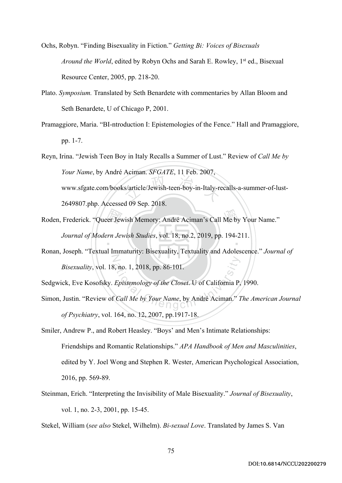Ochs, Robyn. "Finding Bisexuality in Fiction." *Getting Bi: Voices of Bisexuals Around the World*, edited by Robyn Ochs and Sarah E. Rowley, 1<sup>st</sup> ed., Bisexual Resource Center, 2005, pp. 218-20.

- Plato. *Symposium.* Translated by Seth Benardete with commentaries by Allan Bloom and Seth Benardete, U of Chicago P, 2001.
- Pramaggiore, Maria. "BI-ntroduction I: Epistemologies of the Fence." Hall and Pramaggiore, pp. 1-7.

s/article/Jewish-teen-boy-in-Italy-re Reyn, Irina. "Jewish Teen Boy in Italy Recalls a Summer of Lust." Review of *Call Me by Your Name*, by André Aciman. *SFGATE*, 11 Feb. 2007, www.sfgate.com/books/article/Jewish-teen-boy-in-Italy-recalls-a-summer-of-lust-2649807.php. Accessed 09 Sep. 2018.

- er Jev<br>urn Jev<br>1 Imm Roden, Frederick. "Queer Jewish Memory: André Aciman's Call Me by Your Name." ‧ *Journal of Modern Jewish Studies*, vol. 18, no.2, 2019, pp. 194-211.
- N Ronan, Joseph. "Textual Immaturity: Bisexuality, Textuality and Adolescence." *Journal of Bisexuality*, vol. 18, no. 1, 2018, pp. 86-101.

Sedgwick, Eve Kosofsky. *Epistemology of the Closet*. U of California P, 1990.

ation 1, 2018, pp. 86-101.<br>
Epistemology of the Closet. U of California P,<br>
Call Me by Your Name, by André Aciman." 1 Simon, Justin. "Review of *Call Me by Your Name*, by André Aciman." *The American Journal of Psychiatry*, vol. 164, no. 12, 2007, pp.1917-18.

Smiler, Andrew P., and Robert Heasley. "Boys' and Men's Intimate Relationships: Friendships and Romantic Relationships." *APA Handbook of Men and Masculinities*, edited by Y. Joel Wong and Stephen R. Wester, American Psychological Association, 2016, pp. 569-89.

- Steinman, Erich. "Interpreting the Invisibility of Male Bisexuality." *Journal of Bisexuality*, vol. 1, no. 2-3, 2001, pp. 15-45.
- Stekel, William (*see also* Stekel, Wilhelm). *Bi-sexual Love*. Translated by James S. Van